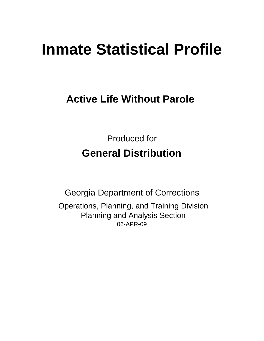# **Inmate Statistical Profile**

# **Active Life Without Parole**

Produced for **General Distribution**

06-APR-09 Georgia Department of Corrections Operations, Planning, and Training Division Planning and Analysis Section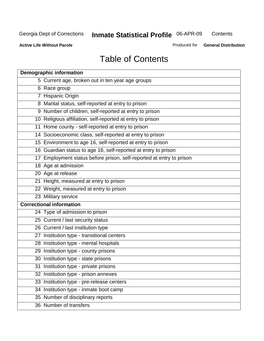**Contents** 

**Active Life Without Parole** 

Produced for **General Distribution**

# Table of Contents

| <b>Demographic information</b>                                       |
|----------------------------------------------------------------------|
| 5 Current age, broken out in ten year age groups                     |
| 6 Race group                                                         |
| 7 Hispanic Origin                                                    |
| 8 Marital status, self-reported at entry to prison                   |
| 9 Number of children, self-reported at entry to prison               |
| 10 Religious affiliation, self-reported at entry to prison           |
| 11 Home county - self-reported at entry to prison                    |
| 14 Socioeconomic class, self-reported at entry to prison             |
| 15 Environment to age 16, self-reported at entry to prison           |
| 16 Guardian status to age 16, self-reported at entry to prison       |
| 17 Employment status before prison, self-reported at entry to prison |
| 18 Age at admission                                                  |
| 20 Age at release                                                    |
| 21 Height, measured at entry to prison                               |
| 22 Weight, measured at entry to prison                               |
| 23 Military service                                                  |
| <b>Correctional information</b>                                      |
| 24 Type of admission to prison                                       |
| 25 Current / last security status                                    |
| 26 Current / last institution type                                   |
| 27 Institution type - transitional centers                           |
| 28 Institution type - mental hospitals                               |
| 29 Institution type - county prisons                                 |
| 30 Institution type - state prisons                                  |
| 31 Institution type - private prisons                                |
| 32 Institution type - prison annexes                                 |
| 33 Institution type - pre-release centers                            |
| 34 Institution type - inmate boot camp                               |
| 35 Number of disciplinary reports                                    |
| 36 Number of transfers                                               |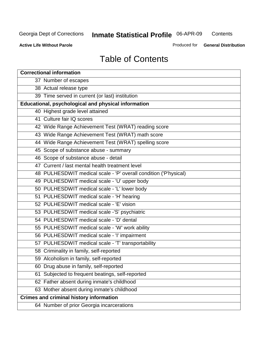**Contents** 

**Active Life Without Parole** 

Produced for **General Distribution**

# Table of Contents

| <b>Correctional information</b>                                  |  |  |  |  |  |  |
|------------------------------------------------------------------|--|--|--|--|--|--|
| 37 Number of escapes                                             |  |  |  |  |  |  |
| 38 Actual release type                                           |  |  |  |  |  |  |
| 39 Time served in current (or last) institution                  |  |  |  |  |  |  |
| Educational, psychological and physical information              |  |  |  |  |  |  |
| 40 Highest grade level attained                                  |  |  |  |  |  |  |
| 41 Culture fair IQ scores                                        |  |  |  |  |  |  |
| 42 Wide Range Achievement Test (WRAT) reading score              |  |  |  |  |  |  |
| 43 Wide Range Achievement Test (WRAT) math score                 |  |  |  |  |  |  |
| 44 Wide Range Achievement Test (WRAT) spelling score             |  |  |  |  |  |  |
| 45 Scope of substance abuse - summary                            |  |  |  |  |  |  |
| 46 Scope of substance abuse - detail                             |  |  |  |  |  |  |
| 47 Current / last mental health treatment level                  |  |  |  |  |  |  |
| 48 PULHESDWIT medical scale - 'P' overall condition ('P'hysical) |  |  |  |  |  |  |
| 49 PULHESDWIT medical scale - 'U' upper body                     |  |  |  |  |  |  |
| 50 PULHESDWIT medical scale - 'L' lower body                     |  |  |  |  |  |  |
| 51 PULHESDWIT medical scale - 'H' hearing                        |  |  |  |  |  |  |
| 52 PULHESDWIT medical scale - 'E' vision                         |  |  |  |  |  |  |
| 53 PULHESDWIT medical scale -'S' psychiatric                     |  |  |  |  |  |  |
| 54 PULHESDWIT medical scale - 'D' dental                         |  |  |  |  |  |  |
| 55 PULHESDWIT medical scale - 'W' work ability                   |  |  |  |  |  |  |
| 56 PULHESDWIT medical scale - 'I' impairment                     |  |  |  |  |  |  |
| 57 PULHESDWIT medical scale - 'T' transportability               |  |  |  |  |  |  |
| 58 Criminality in family, self-reported                          |  |  |  |  |  |  |
| 59 Alcoholism in family, self-reported                           |  |  |  |  |  |  |
| 60 Drug abuse in family, self-reported                           |  |  |  |  |  |  |
| Subjected to frequent beatings, self-reported<br>61              |  |  |  |  |  |  |
| 62 Father absent during inmate's childhood                       |  |  |  |  |  |  |
| 63 Mother absent during inmate's childhood                       |  |  |  |  |  |  |
| <b>Crimes and criminal history information</b>                   |  |  |  |  |  |  |
| 64 Number of prior Georgia incarcerations                        |  |  |  |  |  |  |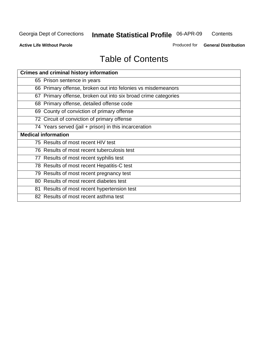**Contents** 

**Active Life Without Parole** 

Produced for **General Distribution**

# Table of Contents

| <b>Crimes and criminal history information</b>                 |
|----------------------------------------------------------------|
| 65 Prison sentence in years                                    |
| 66 Primary offense, broken out into felonies vs misdemeanors   |
| 67 Primary offense, broken out into six broad crime categories |
| 68 Primary offense, detailed offense code                      |
| 69 County of conviction of primary offense                     |
| 72 Circuit of conviction of primary offense                    |
| 74 Years served (jail + prison) in this incarceration          |
| <b>Medical information</b>                                     |
| 75 Results of most recent HIV test                             |
| 76 Results of most recent tuberculosis test                    |
| 77 Results of most recent syphilis test                        |
| 78 Results of most recent Hepatitis-C test                     |
| 79 Results of most recent pregnancy test                       |
| 80 Results of most recent diabetes test                        |
| 81 Results of most recent hypertension test                    |
| 82 Results of most recent asthma test                          |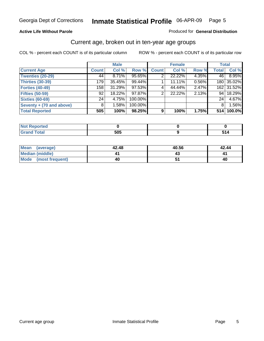#### **Active Life Without Parole**

#### Produced for **General Distribution**

### Current age, broken out in ten-year age groups

|                          |                 | <b>Male</b> |         |                | <b>Female</b> |       |                 | <b>Total</b> |
|--------------------------|-----------------|-------------|---------|----------------|---------------|-------|-----------------|--------------|
| <b>Current Age</b>       | <b>Count</b>    | Col %       | Row %   | <b>Count</b>   | Col %         | Row % | <b>Total</b>    | Col %        |
| <b>Twenties (20-29)</b>  | 44              | $8.71\%$    | 95.65%  |                | 22.22%        | 4.35% | 46              | 8.95%        |
| <b>Thirties (30-39)</b>  | 179             | 35.45%      | 99.44%  |                | 11.11%        | 0.56% |                 | 180 35.02%   |
| <b>Forties (40-49)</b>   | 158             | 31.29%      | 97.53%  | $\overline{4}$ | 44.44%        | 2.47% |                 | 162 31.52%   |
| <b>Fifties (50-59)</b>   | 92              | 18.22%      | 97.87%  | 2              | 22.22%        | 2.13% | 94 <sub>1</sub> | 18.29%       |
| <b>Sixties (60-69)</b>   | 24 <sub>1</sub> | 4.75%       | 100.00% |                |               |       | 24              | 4.67%        |
| Seventy + (70 and above) | 8               | 1.58%       | 100.00% |                |               |       | 8               | 1.56%        |
| <b>Total Reported</b>    | 505             | 100%        | 98.25%  | 9              | 100%          | 1.75% | 514             | 100.0%       |

| <b>NOT Reported</b> |            |  |
|---------------------|------------|--|
| <b>Grand Total</b>  | EOE<br>วบว |  |

| Mean (average)       | 42.48 | 40.56 | 42.44 |
|----------------------|-------|-------|-------|
| Median (middle)      |       |       |       |
| Mode (most frequent) | 40    |       | 40    |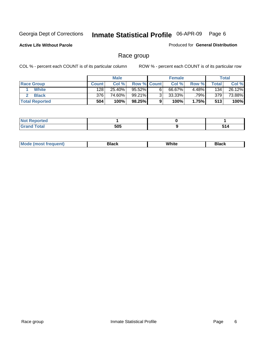**Active Life Without Parole** 

Produced for **General Distribution**

### Race group

|                       |              | <b>Male</b> |                    |   | <b>Female</b> |       |       | Total  |
|-----------------------|--------------|-------------|--------------------|---|---------------|-------|-------|--------|
| <b>Race Group</b>     | <b>Count</b> | Col %       | <b>Row % Count</b> |   | Col %         | Row % | Total | Col %  |
| <b>White</b>          | 128          | 25.40%      | 95.52%             | 6 | 66.67%        | 4.48% | 134   | 26.12% |
| <b>Black</b>          | 376          | 74.60%      | 99.21%             | ົ | 33.33%        | .79%1 | 379   | 73.88% |
| <b>Total Reported</b> | 504          | 100%        | 98.25%             |   | 100%          | 1.75% | 513   | 100%   |

| eported<br>$\cdots$  |     |     |
|----------------------|-----|-----|
| $f$ oto $f$<br>_____ | 505 | ___ |

| $^1$ Mo. | Rlack | White | 3lack |
|----------|-------|-------|-------|
| .        |       |       |       |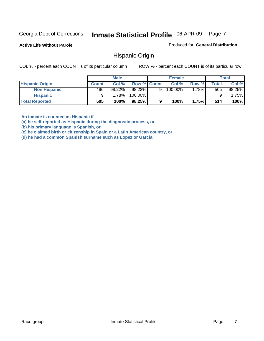**Active Life Without Parole** 

Produced for **General Distribution**

### Hispanic Origin

COL % - percent each COUNT is of its particular column ROW % - percent each COUNT is of its particular row

|                        |              | <b>Male</b> |                    |   | <b>Female</b> |         |       | <b>Total</b> |
|------------------------|--------------|-------------|--------------------|---|---------------|---------|-------|--------------|
| <b>Hispanic Origin</b> | <b>Count</b> | Col %       | <b>Row % Count</b> |   | Col %         | Row %   | Total | Col %        |
| <b>Non Hispanic</b>    | 496          | $98.22\%$   | 98.22%             | 9 | 100.00%       | $.78\%$ | 505   | 98.25%       |
| <b>Hispanic</b>        |              | 1.78%       | 100.00%            |   |               |         |       | $1.75\%$     |
| <b>Total Reported</b>  | 505          | 100%        | 98.25%             | 9 | 100%          | 1.75%   | 514   | 100%         |

**An inmate is counted as Hispanic if** 

**(a) he self-reported as Hispanic during the diagnostic process, or** 

**(b) his primary language is Spanish, or** 

**(c) he claimed birth or citizenship in Spain or a Latin American country, or** 

**(d) he had a common Spanish surname such as Lopez or Garcia**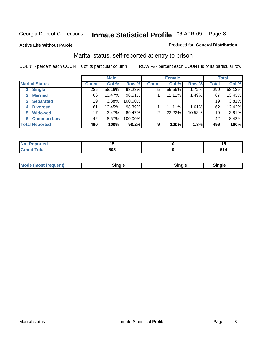**Active Life Without Parole** 

#### Produced for **General Distribution**

### Marital status, self-reported at entry to prison

|                        | <b>Male</b>  |        |         | <b>Female</b> |        |        | <b>Total</b> |        |
|------------------------|--------------|--------|---------|---------------|--------|--------|--------------|--------|
| <b>Marital Status</b>  | <b>Count</b> | Col %  | Row %   | <b>Count</b>  | Col %  | Row %  | <b>Total</b> | Col %  |
| <b>Single</b>          | 285          | 58.16% | 98.28%  | 5             | 55.56% | 1.72%  | 290          | 58.12% |
| <b>Married</b>         | 66           | 13.47% | 98.51%  |               | 11.11% | 1.49%  | 67           | 13.43% |
| <b>Separated</b><br>3  | 19           | 3.88%  | 100.00% |               |        |        | 19           | 3.81%  |
| <b>Divorced</b><br>4   | 61           | 12.45% | 98.39%  |               | 11.11% | 1.61%  | 62           | 12.42% |
| <b>Widowed</b><br>5    | 17           | 3.47%  | 89.47%  | 2             | 22.22% | 10.53% | 19           | 3.81%  |
| <b>Common Law</b><br>6 | 42           | 8.57%  | 100.00% |               |        |        | 42           | 8.42%  |
| <b>Total Reported</b>  | 490          | 100%   | 98.2%   | 9             | 100%   | 1.8%   | 499          | 100%   |

|       |            | . .           |
|-------|------------|---------------|
| ----- | EOF<br>งบะ | $\sim$ $\sim$ |

| <b>Mode (most frequent)</b><br>Sinale<br>≒ınale |
|-------------------------------------------------|
|-------------------------------------------------|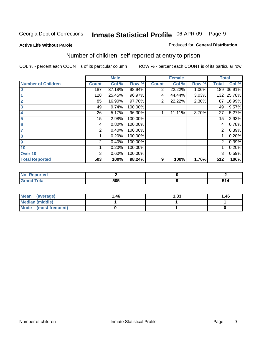#### **Active Life Without Parole**

#### Produced for **General Distribution**

### Number of children, self reported at entry to prison

|                           |              | <b>Male</b> |         |              | <b>Female</b> |          | <b>Total</b> |        |
|---------------------------|--------------|-------------|---------|--------------|---------------|----------|--------------|--------|
| <b>Number of Children</b> | <b>Count</b> | Col %       | Row %   | <b>Count</b> | Col %         | Row %    | <b>Total</b> | Col %  |
| $\bf{0}$                  | 187          | 37.18%      | 98.94%  | 2            | 22.22%        | $1.06\%$ | 189          | 36.91% |
|                           | 128          | 25.45%      | 96.97%  | 4            | 44.44%        | 3.03%    | 132          | 25.78% |
| $\overline{2}$            | 85           | 16.90%      | 97.70%  | 2            | 22.22%        | 2.30%    | 87           | 16.99% |
| 3                         | 49           | 9.74%       | 100.00% |              |               |          | 49           | 9.57%  |
| 4                         | 26           | 5.17%       | 96.30%  |              | 11.11%        | 3.70%    | 27           | 5.27%  |
| 5                         | 15           | 2.98%       | 100.00% |              |               |          | 15           | 2.93%  |
| $6\phantom{a}$            | 4            | 0.80%       | 100.00% |              |               |          | 4            | 0.78%  |
| 7                         | 2            | 0.40%       | 100.00% |              |               |          | 2            | 0.39%  |
| 8                         |              | 0.20%       | 100.00% |              |               |          |              | 0.20%  |
| 9                         | 2            | 0.40%       | 100.00% |              |               |          | 2            | 0.39%  |
| 10                        |              | 0.20%       | 100.00% |              |               |          |              | 0.20%  |
| Over 10                   | 3            | 0.60%       | 100.00% |              |               |          | 3            | 0.59%  |
| <b>Total Reported</b>     | 503          | 100%        | 98.24%  | 9            | 100%          | 1.76%    | 512          | 100%   |

| ™rteu<br>.       |     |       |
|------------------|-----|-------|
| <b>otal</b>      | EAE | - - - |
| $\mathbf{v}$ and | วบฉ | J 14  |

| <b>Mean</b><br>(average) | 1.46 | 1.33 | 1.46 |
|--------------------------|------|------|------|
| <b>Median (middle)</b>   |      |      |      |
| Mode (most frequent)     |      |      |      |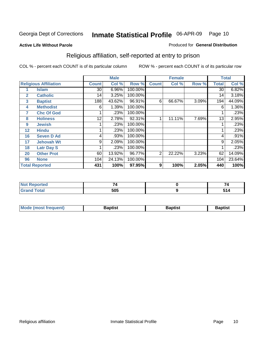#### **Active Life Without Parole**

#### Produced for **General Distribution**

### Religious affiliation, self-reported at entry to prison

|                   |                              |              | <b>Male</b> |         |                | <b>Female</b> |       |              | <b>Total</b> |
|-------------------|------------------------------|--------------|-------------|---------|----------------|---------------|-------|--------------|--------------|
|                   | <b>Religious Affiliation</b> | <b>Count</b> | Col %       | Row %   | <b>Count</b>   | Col %         | Row % | <b>Total</b> | Col %        |
|                   | <b>Islam</b>                 | 30           | 6.96%       | 100.00% |                |               |       | 30           | 6.82%        |
| $\mathbf{2}$      | <b>Catholic</b>              | 14           | 3.25%       | 100.00% |                |               |       | 14           | 3.18%        |
| 3                 | <b>Baptist</b>               | 188          | 43.62%      | 96.91%  | 6              | 66.67%        | 3.09% | 194          | 44.09%       |
| 4                 | <b>Methodist</b>             | 6            | 1.39%       | 100.00% |                |               |       | 6            | 1.36%        |
| 7                 | <b>Chc Of God</b>            |              | .23%        | 100.00% |                |               |       |              | .23%         |
| 8                 | <b>Holiness</b>              | 12           | 2.78%       | 92.31%  |                | 11.11%        | 7.69% | 13           | 2.95%        |
| 9                 | <b>Jewish</b>                |              | .23%        | 100.00% |                |               |       |              | .23%         |
| $12 \overline{ }$ | <b>Hindu</b>                 |              | .23%        | 100.00% |                |               |       |              | .23%         |
| 16                | <b>Seven D Ad</b>            | 4            | .93%        | 100.00% |                |               |       | 4            | .91%         |
| 17                | <b>Jehovah Wt</b>            | 9            | 2.09%       | 100.00% |                |               |       | 9            | 2.05%        |
| 18                | <b>Latr Day S</b>            |              | .23%        | 100.00% |                |               |       |              | .23%         |
| 20                | <b>Other Prot</b>            | 60           | 13.92%      | 96.77%  | $\overline{2}$ | 22.22%        | 3.23% | 62           | 14.09%       |
| 96                | <b>None</b>                  | 104          | 24.13%      | 100.00% |                |               |       | 104          | 23.64%       |
|                   | <b>Total Reported</b>        | 431          | 100%        | 97.95%  | 9              | 100%          | 2.05% | 440          | 100%         |

| Reported<br>NOT.<br>$\sim$ |      |      |
|----------------------------|------|------|
| <b>Total</b>               | ENE  | EA A |
| $\mathbf{v}$ and           | ີ⊃ບພ | JIT  |

|  | <b>Mode (most frequent)</b> | Baptist | Baptist | Baptist |
|--|-----------------------------|---------|---------|---------|
|--|-----------------------------|---------|---------|---------|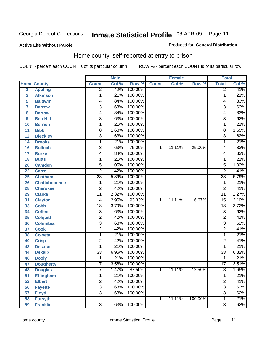#### **Active Life Without Parole**

#### Produced for **General Distribution**

### Home county, self-reported at entry to prison

|                |                      |                 | <b>Male</b> |                  |              | <b>Female</b> |         | <b>Total</b>    |       |
|----------------|----------------------|-----------------|-------------|------------------|--------------|---------------|---------|-----------------|-------|
|                | <b>Home County</b>   | <b>Count</b>    | Col %       | Row <sup>%</sup> | <b>Count</b> | Col %         | Row %   | <b>Total</b>    | Col % |
| $\overline{1}$ | <b>Appling</b>       | $\overline{2}$  | .42%        | 100.00%          |              |               |         | $\overline{2}$  | .41%  |
| $\overline{2}$ | <b>Atkinson</b>      | 1               | .21%        | 100.00%          |              |               |         | $\overline{1}$  | .21%  |
| 5              | <b>Baldwin</b>       | 4               | .84%        | 100.00%          |              |               |         | 4               | .83%  |
| 7              | <b>Barrow</b>        | 3               | .63%        | 100.00%          |              |               |         | 3               | .62%  |
| 8              | <b>Bartow</b>        | 4               | .84%        | 100.00%          |              |               |         | 4               | .83%  |
| 9              | <b>Ben Hill</b>      | $\overline{3}$  | .63%        | 100.00%          |              |               |         | $\overline{3}$  | .62%  |
| 10             | <b>Berrien</b>       | $\mathbf{1}$    | .21%        | 100.00%          |              |               |         | 1               | .21%  |
| 11             | <b>Bibb</b>          | 8               | 1.68%       | 100.00%          |              |               |         | 8               | 1.65% |
| 12             | <b>Bleckley</b>      | 3               | .63%        | 100.00%          |              |               |         | $\overline{3}$  | .62%  |
| 14             | <b>Brooks</b>        | 1               | .21%        | 100.00%          |              |               |         | 1               | .21%  |
| 16             | <b>Bulloch</b>       | $\overline{3}$  | .63%        | 75.00%           | 1            | 11.11%        | 25.00%  | 4               | .83%  |
| 17             | <b>Burke</b>         | 4               | .84%        | 100.00%          |              |               |         | 4               | .83%  |
| 18             | <b>Butts</b>         | 1               | .21%        | 100.00%          |              |               |         | 1               | .21%  |
| 20             | <b>Camden</b>        | 5               | 1.05%       | 100.00%          |              |               |         | $\overline{5}$  | 1.03% |
| 22             | <b>Carroll</b>       | $\overline{2}$  | .42%        | 100.00%          |              |               |         | $\overline{2}$  | .41%  |
| 25             | <b>Chatham</b>       | $\overline{28}$ | 5.89%       | 100.00%          |              |               |         | $\overline{28}$ | 5.79% |
| 26             | <b>Chattahoochee</b> | 1               | .21%        | 100.00%          |              |               |         | 1               | .21%  |
| 28             | <b>Cherokee</b>      | $\overline{2}$  | .42%        | 100.00%          |              |               |         | $\overline{2}$  | .41%  |
| 29             | <b>Clarke</b>        | $\overline{11}$ | 2.32%       | 100.00%          |              |               |         | $\overline{11}$ | 2.27% |
| 31             | <b>Clayton</b>       | 14              | 2.95%       | 93.33%           | 1            | 11.11%        | 6.67%   | $\overline{15}$ | 3.10% |
| 33             | <b>Cobb</b>          | 18              | 3.79%       | 100.00%          |              |               |         | $\overline{18}$ | 3.72% |
| 34             | <b>Coffee</b>        | 3               | .63%        | 100.00%          |              |               |         | $\overline{3}$  | .62%  |
| 35             | <b>Colquitt</b>      | $\overline{2}$  | .42%        | 100.00%          |              |               |         | $\overline{2}$  | .41%  |
| 36             | <b>Columbia</b>      | $\overline{3}$  | .63%        | 100.00%          |              |               |         | $\overline{3}$  | .62%  |
| 37             | <b>Cook</b>          | $\overline{2}$  | .42%        | 100.00%          |              |               |         | $\overline{2}$  | .41%  |
| 38             | <b>Coweta</b>        | 1               | .21%        | 100.00%          |              |               |         | 1               | .21%  |
| 40             | <b>Crisp</b>         | $\overline{2}$  | .42%        | 100.00%          |              |               |         | $\overline{2}$  | .41%  |
| 43             | <b>Decatur</b>       | 1               | .21%        | 100.00%          |              |               |         | 1               | .21%  |
| 44             | <b>Dekalb</b>        | $\overline{33}$ | 6.95%       | 100.00%          |              |               |         | $\overline{33}$ | 6.82% |
| 46             | <b>Dooly</b>         | 1               | .21%        | 100.00%          |              |               |         | 1               | .21%  |
| 47             | <b>Dougherty</b>     | $\overline{17}$ | 3.58%       | 100.00%          |              |               |         | 17              | 3.51% |
| 48             | <b>Douglas</b>       | 7               | 1.47%       | 87.50%           | 1            | 11.11%        | 12.50%  | 8               | 1.65% |
| 51             | <b>Effingham</b>     | 1               | .21%        | 100.00%          |              |               |         | 1               | .21%  |
| 52             | <b>Elbert</b>        | $\overline{2}$  | .42%        | 100.00%          |              |               |         | $\overline{2}$  | .41%  |
| 56             | <b>Fayette</b>       | $\overline{3}$  | .63%        | 100.00%          |              |               |         | $\overline{3}$  | .62%  |
| 57             | <b>Floyd</b>         | $\overline{3}$  | .63%        | 100.00%          |              |               |         | $\overline{3}$  | .62%  |
| 58             | <b>Forsyth</b>       |                 |             |                  | 1            | 11.11%        | 100.00% | 1               | .21%  |
| 59             | <b>Franklin</b>      | $\overline{3}$  | .63%        | 100.00%          |              |               |         | $\overline{3}$  | .62%  |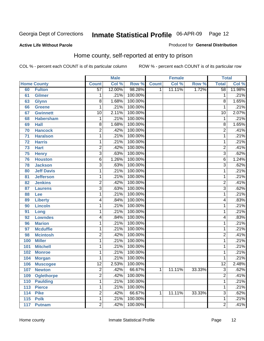#### **Active Life Without Parole**

#### Produced for **General Distribution**

### Home county, self-reported at entry to prison

|     |                    |                 | <b>Male</b> |         |              | <b>Female</b> |        | <b>Total</b>    |        |
|-----|--------------------|-----------------|-------------|---------|--------------|---------------|--------|-----------------|--------|
|     | <b>Home County</b> | <b>Count</b>    | Col %       | Row %   | <b>Count</b> | Col %         | Row %  | <b>Total</b>    | Col %  |
| 60  | <b>Fulton</b>      | $\overline{57}$ | 12.00%      | 98.28%  | 1            | 11.11%        | 1.72%  | $\overline{58}$ | 11.98% |
| 61  | <b>Gilmer</b>      | 1               | .21%        | 100.00% |              |               |        | 1               | .21%   |
| 63  | <b>Glynn</b>       | $\overline{8}$  | 1.68%       | 100.00% |              |               |        | 8               | 1.65%  |
| 66  | <b>Greene</b>      | 1               | .21%        | 100.00% |              |               |        | 1               | .21%   |
| 67  | <b>Gwinnett</b>    | 10              | 2.11%       | 100.00% |              |               |        | $\overline{10}$ | 2.07%  |
| 68  | <b>Habersham</b>   | 1               | .21%        | 100.00% |              |               |        | 1               | .21%   |
| 69  | <b>Hall</b>        | $\overline{8}$  | 1.68%       | 100.00% |              |               |        | 8               | 1.65%  |
| 70  | <b>Hancock</b>     | $\overline{2}$  | .42%        | 100.00% |              |               |        | $\overline{2}$  | .41%   |
| 71  | <b>Haralson</b>    | 1               | .21%        | 100.00% |              |               |        | 1               | .21%   |
| 72  | <b>Harris</b>      | 1               | .21%        | 100.00% |              |               |        | 1               | .21%   |
| 73  | <b>Hart</b>        | $\overline{c}$  | .42%        | 100.00% |              |               |        | $\overline{2}$  | .41%   |
| 75  | <b>Henry</b>       | $\overline{3}$  | .63%        | 100.00% |              |               |        | $\overline{3}$  | .62%   |
| 76  | <b>Houston</b>     | 6               | 1.26%       | 100.00% |              |               |        | 6               | 1.24%  |
| 78  | <b>Jackson</b>     | $\overline{3}$  | .63%        | 100.00% |              |               |        | $\overline{3}$  | .62%   |
| 80  | <b>Jeff Davis</b>  | 1               | .21%        | 100.00% |              |               |        | 1               | .21%   |
| 81  | <b>Jefferson</b>   | 1               | .21%        | 100.00% |              |               |        | 1               | .21%   |
| 82  | <b>Jenkins</b>     | $\overline{2}$  | .42%        | 100.00% |              |               |        | 2               | .41%   |
| 87  | <b>Laurens</b>     | $\overline{3}$  | .63%        | 100.00% |              |               |        | $\overline{3}$  | .62%   |
| 88  | Lee                | 1               | .21%        | 100.00% |              |               |        | 1               | .21%   |
| 89  | <b>Liberty</b>     | 4               | .84%        | 100.00% |              |               |        | 4               | .83%   |
| 90  | <b>Lincoln</b>     | $\mathbf{1}$    | .21%        | 100.00% |              |               |        | 1               | .21%   |
| 91  | Long               | 1               | .21%        | 100.00% |              |               |        | 1               | .21%   |
| 92  | <b>Lowndes</b>     | 4               | .84%        | 100.00% |              |               |        | 4               | .83%   |
| 96  | <b>Marion</b>      | 1               | .21%        | 100.00% |              |               |        | 1               | .21%   |
| 97  | <b>Mcduffie</b>    | 1               | .21%        | 100.00% |              |               |        | 1               | .21%   |
| 98  | <b>Mcintosh</b>    | $\overline{2}$  | .42%        | 100.00% |              |               |        | $\overline{2}$  | .41%   |
| 100 | <b>Miller</b>      | $\mathbf{1}$    | .21%        | 100.00% |              |               |        | 1               | .21%   |
| 101 | <b>Mitchell</b>    | 1               | .21%        | 100.00% |              |               |        | 1               | .21%   |
| 102 | <b>Monroe</b>      | $\mathbf{1}$    | .21%        | 100.00% |              |               |        | 1               | .21%   |
| 104 | <b>Morgan</b>      | 1               | .21%        | 100.00% |              |               |        | 1               | .21%   |
| 106 | <b>Muscogee</b>    | $\overline{12}$ | 2.53%       | 100.00% |              |               |        | $\overline{12}$ | 2.48%  |
| 107 | <b>Newton</b>      | 2               | .42%        | 66.67%  | 1            | 11.11%        | 33.33% | 3               | .62%   |
| 109 | <b>Oglethorpe</b>  | $\overline{2}$  | .42%        | 100.00% |              |               |        | $\overline{2}$  | .41%   |
| 110 | <b>Paulding</b>    | 1               | .21%        | 100.00% |              |               |        | 1               | .21%   |
| 113 | <b>Pierce</b>      | $\mathbf{1}$    | .21%        | 100.00% |              |               |        | 1               | .21%   |
| 114 | <b>Pike</b>        | 2               | .42%        | 66.67%  | 1            | 11.11%        | 33.33% | 3               | .62%   |
| 115 | <b>Polk</b>        | 1               | .21%        | 100.00% |              |               |        | 1               | .21%   |
| 117 | <b>Putnam</b>      | $\overline{2}$  | .42%        | 100.00% |              |               |        | $\overline{2}$  | .41%   |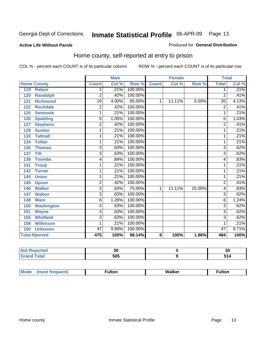#### **Active Life Without Parole**

#### Produced for **General Distribution**

### Home county, self-reported at entry to prison

|     |                      |                | <b>Male</b> |         |                  | <b>Female</b> |          | <b>Total</b>    |       |
|-----|----------------------|----------------|-------------|---------|------------------|---------------|----------|-----------------|-------|
|     | <b>Home County</b>   | <b>Count</b>   | Col %       | Row %   | <b>Count</b>     | Col %         | Row %    | <b>Total</b>    | Col % |
| 119 | <b>Rabun</b>         | 1              | .21%        | 100.00% |                  |               |          | 1               | .21%  |
| 120 | <b>Randolph</b>      | $\overline{2}$ | .42%        | 100.00% |                  |               |          | $\overline{2}$  | .41%  |
| 121 | <b>Richmond</b>      | 19             | 4.00%       | 95.00%  | 1                | 11.11%        | $5.00\%$ | $\overline{20}$ | 4.13% |
| 122 | <b>Rockdale</b>      | $\overline{2}$ | .42%        | 100.00% |                  |               |          | $\overline{2}$  | .41%  |
| 125 | <b>Seminole</b>      | 1              | .21%        | 100.00% |                  |               |          | 1               | .21%  |
| 126 | <b>Spalding</b>      | $\overline{5}$ | 1.05%       | 100.00% |                  |               |          | 5               | 1.03% |
| 127 | <b>Stephens</b>      | $\overline{2}$ | .42%        | 100.00% |                  |               |          | $\overline{2}$  | .41%  |
| 129 | <b>Sumter</b>        | 1              | .21%        | 100.00% |                  |               |          | 1               | .21%  |
| 132 | <b>Tattnall</b>      | 1              | .21%        | 100.00% |                  |               |          | $\overline{1}$  | .21%  |
| 134 | <b>Telfair</b>       | 1              | .21%        | 100.00% |                  |               |          | 1               | .21%  |
| 136 | <b>Thomas</b>        | $\overline{3}$ | .63%        | 100.00% |                  |               |          | $\overline{3}$  | .62%  |
| 137 | <b>Tift</b>          | $\overline{3}$ | .63%        | 100.00% |                  |               |          | $\overline{3}$  | .62%  |
| 138 | <b>Toombs</b>        | 4              | .84%        | 100.00% |                  |               |          | 4               | .83%  |
| 141 | <b>Troup</b>         | 1              | .21%        | 100.00% |                  |               |          | 1               | .21%  |
| 142 | <b>Turner</b>        | 1              | .21%        | 100.00% |                  |               |          | 1               | .21%  |
| 144 | <b>Union</b>         | 1              | .21%        | 100.00% |                  |               |          | 1               | .21%  |
| 145 | <b>Upson</b>         | $\overline{2}$ | .42%        | 100.00% |                  |               |          | $\overline{2}$  | .41%  |
| 146 | <b>Walker</b>        | $\overline{3}$ | .63%        | 75.00%  | 1                | 11.11%        | 25.00%   | 4               | .83%  |
| 147 | <b>Walton</b>        | $\overline{3}$ | .63%        | 100.00% |                  |               |          | 3               | .62%  |
| 148 | <b>Ware</b>          | 6              | 1.26%       | 100.00% |                  |               |          | 6               | 1.24% |
| 150 | <b>Washington</b>    | $\overline{3}$ | .63%        | 100.00% |                  |               |          | $\overline{3}$  | .62%  |
| 151 | <b>Wayne</b>         | $\overline{3}$ | .63%        | 100.00% |                  |               |          | $\overline{3}$  | .62%  |
| 155 | <b>Whitfield</b>     | $\overline{3}$ | .63%        | 100.00% |                  |               |          | 3               | .62%  |
| 158 | <b>Wilkinson</b>     | 1              | .21%        | 100.00% |                  |               |          | 1               | .21%  |
| 160 | <b>Unknown</b>       | 47             | 9.89%       | 100.00% |                  |               |          | 47              | 9.71% |
|     | <b>Total Rported</b> | 475            | 100%        | 98.14%  | $\boldsymbol{9}$ | 100%          | 1.86%    | 484             | 100%  |

| <u>leu</u><br>. |     | 2£<br>v, |
|-----------------|-----|----------|
|                 | 505 |          |

| Mode | (most frequent) | <b>ulton</b> | <b>Walker</b><br>_____ | <b>ulton</b> |
|------|-----------------|--------------|------------------------|--------------|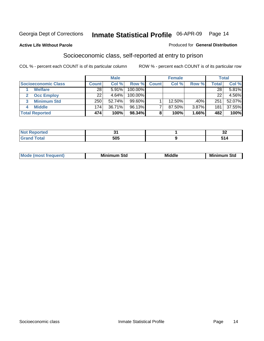#### **Active Life Without Parole**

#### Produced for **General Distribution**

### Socioeconomic class, self-reported at entry to prison

|                            |              | <b>Male</b> |           |              | <b>Female</b> |       |              | <b>Total</b> |
|----------------------------|--------------|-------------|-----------|--------------|---------------|-------|--------------|--------------|
| <b>Socioeconomic Class</b> | <b>Count</b> | Col %       | Row %     | <b>Count</b> | Col %         | Row % | <b>Total</b> | Col %        |
| <b>Welfare</b>             | 28           | 5.91%       | 100.00%   |              |               |       | 28           | 5.81%        |
| <b>Occ Employ</b>          | 22           | 4.64%       | 100.00%   |              |               |       | 22           | 4.56%        |
| <b>Minimum Std</b>         | 250          | 52.74%      | $99.60\%$ |              | 12.50%        | .40%  | 251          | 52.07%       |
| <b>Middle</b>              | 174          | 36.71%      | 96.13%    |              | 87.50%        | 3.87% | 181          | 37.55%       |
| <b>Total Reported</b>      | 474          | 100%        | 98.34%    |              | 100%          | 1.66% | 482          | 100%         |

| .<br>тео                                        | $-$ | $\sim$<br>◡▴ |
|-------------------------------------------------|-----|--------------|
| $T \cap f \cap f$<br><b>Oldi</b><br>$-1$ - $-1$ | 505 | . .<br>- 14  |

| .<br>___ |
|----------|
|----------|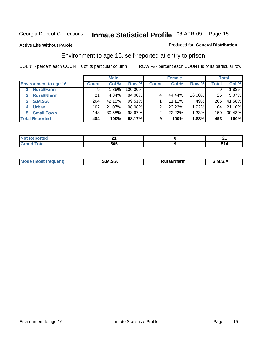Produced for **General Distribution**

#### **Active Life Without Parole**

### Environment to age 16, self-reported at entry to prison

|                              |                  | <b>Male</b> |         |              | <b>Female</b> |        |              | <b>Total</b> |
|------------------------------|------------------|-------------|---------|--------------|---------------|--------|--------------|--------------|
| <b>Environment to age 16</b> | <b>Count</b>     | Col %       | Row %   | <b>Count</b> | Col %         | Row %  | <b>Total</b> | Col %        |
| <b>Rural/Farm</b>            | 9                | l.86%       | 100.00% |              |               |        |              | 1.83%        |
| <b>Rural/Nfarm</b><br>2      | 21               | 4.34%       | 84.00%  |              | 44.44%        | 16.00% | 25           | 5.07%        |
| <b>S.M.S.A</b><br>3          | 204              | 42.15%      | 99.51%  |              | 11.11%        | .49%   | 205          | 41.58%       |
| <b>Urban</b><br>4            | 102 <sub>2</sub> | 21.07%      | 98.08%  |              | 22.22%        | 1.92%  | 104          | 21.10%       |
| <b>Small Town</b>            | 148              | 30.58%      | 98.67%  | ⌒            | 22.22%        | 1.33%  | 150          | 30.43%       |
| <b>Total Reported</b>        | 484              | 100%        | 98.17%  | 9            | 100%          | 1.83%  | 493          | 100%         |

| <b>rted</b>             |     |       |
|-------------------------|-----|-------|
| <b>Total</b><br>' Grand | 505 | . . 4 |

| Mo<br><b>CONTRACTOR</b><br>. M S<br>M<br>---<br>Nfarn<br>.<br>_____<br>______ |  |  |
|-------------------------------------------------------------------------------|--|--|
|                                                                               |  |  |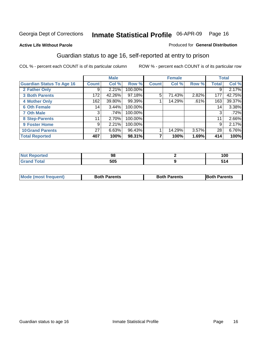Produced for **General Distribution**

#### **Active Life Without Parole**

## Guardian status to age 16, self-reported at entry to prison

|                                  |                 | <b>Male</b> |         |              | <b>Female</b> |       |              | <b>Total</b> |
|----------------------------------|-----------------|-------------|---------|--------------|---------------|-------|--------------|--------------|
| <b>Guardian Status To Age 16</b> | <b>Count</b>    | Col %       | Row %   | <b>Count</b> | Col %         | Row % | <b>Total</b> | Col %        |
| 2 Father Only                    | 9               | 2.21%       | 100.00% |              |               |       | 9            | 2.17%        |
| <b>3 Both Parents</b>            | 172             | 42.26%      | 97.18%  | 5            | 71.43%        | 2.82% | 177          | 42.75%       |
| <b>4 Mother Only</b>             | 162             | 39.80%      | 99.39%  |              | 14.29%        | .61%  | 163          | 39.37%       |
| <b>6 Oth Female</b>              | 14              | 3.44%       | 100.00% |              |               |       | 14           | 3.38%        |
| <b>7 Oth Male</b>                | 3               | .74%        | 100.00% |              |               |       | 3            | .72%         |
| 8 Step-Parents                   | 11              | 2.70%       | 100.00% |              |               |       | 11           | 2.66%        |
| 9 Foster Home                    | 9               | 2.21%       | 100.00% |              |               |       | 9            | 2.17%        |
| <b>10 Grand Parents</b>          | 27 <sup>1</sup> | 6.63%       | 96.43%  |              | 14.29%        | 3.57% | 28           | 6.76%        |
| <b>Total Reported</b>            | 407             | 100%        | 98.31%  |              | 100%          | 1.69% | 414          | 100%         |

|                             | ະ          | 1 N C<br>טע ו |
|-----------------------------|------------|---------------|
| $\sim$ $\sim$ $\sim$ $\sim$ | ENE<br>ວບວ |               |

| <b>Mode (most frequent)</b> | <b>Both Parents</b> | <b>Both Parents</b> | <b>IBoth Parents</b> |
|-----------------------------|---------------------|---------------------|----------------------|
|                             |                     |                     |                      |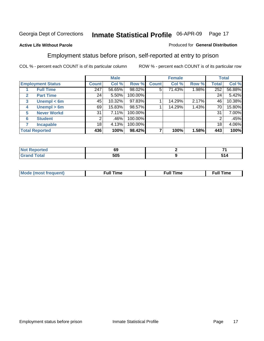#### **Active Life Without Parole**

#### Produced for **General Distribution**

### Employment status before prison, self-reported at entry to prison

|              |                          |                 | <b>Male</b> |         |              | <b>Female</b> |       |              | <b>Total</b> |
|--------------|--------------------------|-----------------|-------------|---------|--------------|---------------|-------|--------------|--------------|
|              | <b>Employment Status</b> | <b>Count</b>    | Col %       | Row %   | <b>Count</b> | Col %         | Row % | <b>Total</b> | Col %        |
|              | <b>Full Time</b>         | 247             | 56.65%      | 98.02%  | 5            | 71.43%        | 1.98% | 252          | 56.88%       |
| $\mathbf{2}$ | <b>Part Time</b>         | 24              | 5.50%       | 100.00% |              |               |       | 24           | 5.42%        |
| 3            | Unempl $<$ 6m            | 45              | 10.32%      | 97.83%  |              | 14.29%        | 2.17% | 46           | 10.38%       |
| 4            | Unempl > 6m              | 69              | 15.83%      | 98.57%  |              | 14.29%        | 1.43% | 70           | 15.80%       |
| 5            | <b>Never Workd</b>       | 31              | 7.11%       | 100.00% |              |               |       | 31           | 7.00%        |
| 6            | <b>Student</b>           | 2               | .46%        | 100.00% |              |               |       |              | .45%         |
|              | <b>Incapable</b>         | 18 <sub>1</sub> | 4.13%       | 100.00% |              |               |       | 18           | 4.06%        |
|              | <b>Total Reported</b>    | 436             | 100%        | 98.42%  |              | 100%          | 1.58% | 443          | 100%         |

| тео -                  | …<br>va | $\sim$                                           |
|------------------------|---------|--------------------------------------------------|
| $T = 4 - T$<br>_______ | 505     | $\sim$ $\sim$ $\sim$ $\sim$ $\sim$ $\sim$ $\sim$ |

| Mo | 'me<br>uн<br>the contract of the contract of the contract of the contract of the contract of the contract of the contract of the contract of the contract of the contract of the contract of the contract of the contract of the contract o | ïme<br>uı.<br>the contract of the contract of the contract of the contract of the contract of the contract of the contract of |
|----|---------------------------------------------------------------------------------------------------------------------------------------------------------------------------------------------------------------------------------------------|-------------------------------------------------------------------------------------------------------------------------------|
|    |                                                                                                                                                                                                                                             |                                                                                                                               |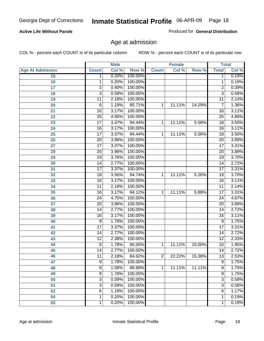#### **Active Life Without Parole**

Produced for **General Distribution**

### Age at admission

|                         |                 | <b>Male</b> |         |              | <b>Female</b> |        |                 | <b>Total</b> |
|-------------------------|-----------------|-------------|---------|--------------|---------------|--------|-----------------|--------------|
| <b>Age At Admission</b> | <b>Count</b>    | Col %       | Row %   | <b>Count</b> | Col %         | Row %  | <b>Total</b>    | Col %        |
| 15                      | 1               | 0.20%       | 100.00% |              |               |        | 1               | 0.19%        |
| 16                      | 1               | 0.20%       | 100.00% |              |               |        | $\overline{1}$  | 0.19%        |
| 17                      | $\overline{2}$  | 0.40%       | 100.00% |              |               |        | 2               | 0.39%        |
| 18                      | 3               | 0.59%       | 100.00% |              |               |        | $\overline{3}$  | 0.58%        |
| 19                      | 11              | 2.18%       | 100.00% |              |               |        | 11              | 2.14%        |
| 20                      | 6               | 1.19%       | 85.71%  | 1            | 11.11%        | 14.29% | 7               | 1.36%        |
| 21                      | $\overline{16}$ | 3.17%       | 100.00% |              |               |        | $\overline{16}$ | 3.11%        |
| 22                      | $\overline{25}$ | 4.95%       | 100.00% |              |               |        | $\overline{25}$ | 4.86%        |
| 23                      | $\overline{17}$ | 3.37%       | 94.44%  | 1            | 11.11%        | 5.56%  | $\overline{18}$ | 3.50%        |
| 24                      | $\overline{16}$ | 3.17%       | 100.00% |              |               |        | 16              | 3.11%        |
| 25                      | $\overline{17}$ | 3.37%       | 94.44%  | 1            | 11.11%        | 5.56%  | $\overline{18}$ | 3.50%        |
| 26                      | $\overline{20}$ | 3.96%       | 100.00% |              |               |        | $\overline{20}$ | 3.89%        |
| 27                      | $\overline{17}$ | 3.37%       | 100.00% |              |               |        | 17              | 3.31%        |
| 28                      | $\overline{20}$ | 3.96%       | 100.00% |              |               |        | 20              | 3.89%        |
| 29                      | $\overline{19}$ | 3.76%       | 100.00% |              |               |        | $\overline{19}$ | 3.70%        |
| 30                      | 14              | 2.77%       | 100.00% |              |               |        | 14              | 2.72%        |
| 31                      | $\overline{17}$ | 3.37%       | 100.00% |              |               |        | 17              | 3.31%        |
| 32                      | $\overline{18}$ | 3.56%       | 94.74%  | 1            | 11.11%        | 5.26%  | 19              | 3.70%        |
| 33                      | $\overline{16}$ | 3.17%       | 100.00% |              |               |        | $\overline{16}$ | 3.11%        |
| 34                      | $\overline{11}$ | 2.18%       | 100.00% |              |               |        | 11              | 2.14%        |
| 35                      | $\overline{16}$ | 3.17%       | 94.12%  | 1            | 11.11%        | 5.88%  | $\overline{17}$ | 3.31%        |
| 36                      | $\overline{24}$ | 4.75%       | 100.00% |              |               |        | 24              | 4.67%        |
| 37                      | $\overline{20}$ | 3.96%       | 100.00% |              |               |        | $\overline{20}$ | 3.89%        |
| 38                      | 14              | 2.77%       | 100.00% |              |               |        | 14              | 2.72%        |
| 39                      | 16              | 3.17%       | 100.00% |              |               |        | 16              | 3.11%        |
| 40                      | 9               | 1.78%       | 100.00% |              |               |        | 9               | 1.75%        |
| 41                      | $\overline{17}$ | 3.37%       | 100.00% |              |               |        | 17              | 3.31%        |
| 42                      | 14              | 2.77%       | 100.00% |              |               |        | 14              | 2.72%        |
| 43                      | $\overline{12}$ | 2.38%       | 100.00% |              |               |        | $\overline{12}$ | 2.33%        |
| 44                      | 9               | 1.78%       | 90.00%  | 1            | 11.11%        | 10.00% | 10              | 1.95%        |
| 45                      | 14              | 2.77%       | 100.00% |              |               |        | 14              | 2.72%        |
| 46                      | 11              | 2.18%       | 84.62%  | 2            | 22.22%        | 15.38% | 13              | 2.53%        |
| 47                      | $\overline{9}$  | 1.78%       | 100.00% |              |               |        | 9               | 1.75%        |
| 48                      | $\overline{8}$  | 1.58%       | 88.89%  | 1            | 11.11%        | 11.11% | 9               | 1.75%        |
| 49                      | 9               | 1.78%       | 100.00% |              |               |        | 9               | 1.75%        |
| 50                      | 3               | 0.59%       | 100.00% |              |               |        | 3               | 0.58%        |
| 51                      | 3               | 0.59%       | 100.00% |              |               |        | 3               | 0.58%        |
| 52                      | 6               | 1.19%       | 100.00% |              |               |        | 6               | 1.17%        |
| 54                      | 1               | 0.20%       | 100.00% |              |               |        | 1               | 0.19%        |
| 55                      | 1               | 0.20%       | 100.00% |              |               |        | 1               | 0.19%        |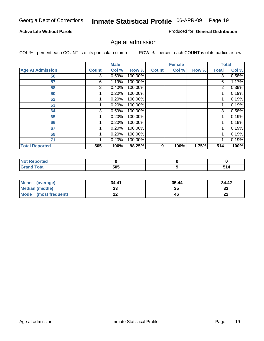#### **Active Life Without Parole**

Produced for **General Distribution**

### Age at admission

|                         |              | <b>Male</b> |         |              | <b>Female</b> |       |              | <b>Total</b> |
|-------------------------|--------------|-------------|---------|--------------|---------------|-------|--------------|--------------|
| <b>Age At Admission</b> | <b>Count</b> | Col %       | Row %   | <b>Count</b> | Col %         | Row % | <b>Total</b> | Col %        |
| 56                      | 3            | 0.59%       | 100.00% |              |               |       | 3            | 0.58%        |
| 57                      | 6            | 1.19%       | 100.00% |              |               |       | 6            | 1.17%        |
| 58                      | 2            | 0.40%       | 100.00% |              |               |       | 2            | 0.39%        |
| 60                      |              | 0.20%       | 100.00% |              |               |       |              | 0.19%        |
| 62                      |              | 0.20%       | 100.00% |              |               |       |              | 0.19%        |
| 63                      |              | 0.20%       | 100.00% |              |               |       |              | 0.19%        |
| 64                      | 3            | 0.59%       | 100.00% |              |               |       | 3            | 0.58%        |
| 65                      |              | 0.20%       | 100.00% |              |               |       |              | 0.19%        |
| 66                      |              | 0.20%       | 100.00% |              |               |       |              | 0.19%        |
| 67                      |              | 0.20%       | 100.00% |              |               |       |              | 0.19%        |
| 69                      |              | 0.20%       | 100.00% |              |               |       |              | 0.19%        |
| 71                      |              | 0.20%       | 100.00% |              |               |       |              | 0.19%        |
| <b>Total Reported</b>   | 505          | 100%        | 98.25%  | 9            | 100%          | 1.75% | 514          | 100%         |

| тео                    |     |  |
|------------------------|-----|--|
| $\sim$ $\sim$<br>_____ | 505 |  |

| <b>Mean</b><br>(average)       | 34.41 | 35.44 | 34.42    |
|--------------------------------|-------|-------|----------|
| <b>Median (middle)</b>         | JJ    | 35    | າາ<br>ند |
| <b>Mode</b><br>(most frequent) | --    | 46    | …<br>LL  |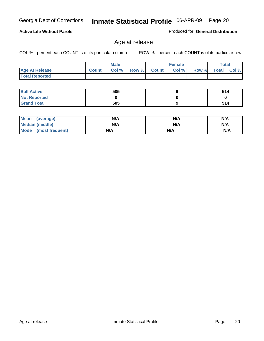#### **Active Life Without Parole**

Produced for **General Distribution**

### Age at release

|                       |              | <b>Male</b> |       |           | <b>Female</b> |       |              | <b>Total</b> |
|-----------------------|--------------|-------------|-------|-----------|---------------|-------|--------------|--------------|
| <b>Age At Release</b> | <b>Count</b> | Col %       | Row % | ' Count I | Col%          | Row % | <b>Total</b> | Col %        |
| <b>Total Reported</b> |              |             |       |           |               |       |              |              |

| <b>Still Active</b> | 505 | 514 |
|---------------------|-----|-----|
| <b>Not Reported</b> |     |     |
| <b>Grand Total</b>  | 505 | 514 |

| Mean<br>(average)      | N/A | N/A | N/A |
|------------------------|-----|-----|-----|
| <b>Median (middle)</b> | N/A | N/A | N/A |
| Mode (most frequent)   | N/A | N/A | N/A |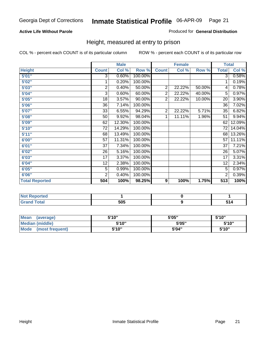#### **Active Life Without Parole**

#### Produced for **General Distribution**

### Height, measured at entry to prison

|                       |                | <b>Male</b> |         |                | <b>Female</b> |        | <b>Total</b>    |                     |
|-----------------------|----------------|-------------|---------|----------------|---------------|--------|-----------------|---------------------|
| <b>Height</b>         | <b>Count</b>   | Col %       | Row %   | <b>Count</b>   | Col %         | Row %  | <b>Total</b>    | Col %               |
| 5'01''                | $\overline{3}$ | 0.60%       | 100.00% |                |               |        | 3               | 0.58%               |
| 5'02"                 | 1              | 0.20%       | 100.00% |                |               |        | 1               | 0.19%               |
| 5'03"                 | 2              | 0.40%       | 50.00%  | $\overline{2}$ | 22.22%        | 50.00% | 4               | 0.78%               |
| 5'04"                 | 3              | 0.60%       | 60.00%  | $\overline{2}$ | 22.22%        | 40.00% | 5               | 0.97%               |
| 5'05"                 | 18             | 3.57%       | 90.00%  | $\overline{2}$ | 22.22%        | 10.00% | 20              | 3.90%               |
| 5'06"                 | 36             | 7.14%       | 100.00% |                |               |        | $\overline{36}$ | 7.02%               |
| 5'07''                | 33             | 6.55%       | 94.29%  | $\overline{2}$ | 22.22%        | 5.71%  | 35              | 6.82%               |
| 5'08"                 | 50             | 9.92%       | 98.04%  | 1              | 11.11%        | 1.96%  | $\overline{51}$ | 9.94%               |
| 5'09"                 | 62             | 12.30%      | 100.00% |                |               |        | 62              | 12.09%              |
| 5'10''                | 72             | 14.29%      | 100.00% |                |               |        | 72              | 14.04%              |
| 5'11''                | 68             | 13.49%      | 100.00% |                |               |        | 68              | 13.26%              |
| 6'00"                 | 57             | 11.31%      | 100.00% |                |               |        | 57              | 11.11%              |
| 6'01"                 | 37             | 7.34%       | 100.00% |                |               |        | 37              | 7.21%               |
| 6'02''                | 26             | 5.16%       | 100.00% |                |               |        | 26              | 5.07%               |
| 6'03"                 | 17             | 3.37%       | 100.00% |                |               |        | $\overline{17}$ | 3.31%               |
| 6'04"                 | 12             | 2.38%       | 100.00% |                |               |        | 12              | 2.34%               |
| 6'05"                 | 5              | 0.99%       | 100.00% |                |               |        | 5               | 0.97%               |
| 6'06"                 | $\overline{2}$ | 0.40%       | 100.00% |                |               |        | 2               | $\overline{0.39\%}$ |
| <b>Total Reported</b> | 504            | 100%        | 98.25%  | 9              | 100%          | 1.75%  | 513             | 100%                |

| المناسبة المتعاد<br>porteg               |     |     |
|------------------------------------------|-----|-----|
| $\sim$ $\sim$ $\sim$<br>$\sim$<br>______ | 505 | - - |

| Mean<br>(average)              | 5'10" | 5'05" | 5'10'' |
|--------------------------------|-------|-------|--------|
| Median (middle)                | 5'10" | 5'05" | 5'10"  |
| <b>Mode</b><br>(most frequent) | 5'10" | 5'04" | 5'10'' |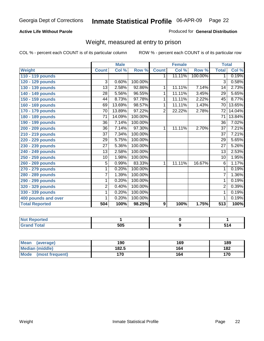#### **Active Life Without Parole**

#### Produced for **General Distribution**

### Weight, measured at entry to prison

|                       |                | <b>Male</b> |         |                | <b>Female</b> |         | <b>Total</b>    |        |
|-----------------------|----------------|-------------|---------|----------------|---------------|---------|-----------------|--------|
| <b>Weight</b>         | <b>Count</b>   | Col %       | Row %   | <b>Count</b>   | Col %         | Row %   | <b>Total</b>    | Col %  |
| 110 - 119 pounds      |                |             |         | 1.             | 11.11%        | 100.00% | 1               | 0.19%  |
| 120 - 129 pounds      | 3              | 0.60%       | 100.00% |                |               |         | 3               | 0.58%  |
| 130 - 139 pounds      | 13             | 2.58%       | 92.86%  | 1              | 11.11%        | 7.14%   | 14              | 2.73%  |
| 140 - 149 pounds      | 28             | 5.56%       | 96.55%  | 1              | 11.11%        | 3.45%   | $\overline{29}$ | 5.65%  |
| 150 - 159 pounds      | 44             | 8.73%       | 97.78%  | 1              | 11.11%        | 2.22%   | 45              | 8.77%  |
| 160 - 169 pounds      | 69             | 13.69%      | 98.57%  | 1              | 11.11%        | 1.43%   | $\overline{70}$ | 13.65% |
| 170 - 179 pounds      | 70             | 13.89%      | 97.22%  | $\overline{2}$ | 22.22%        | 2.78%   | 72              | 14.04% |
| 180 - 189 pounds      | 71             | 14.09%      | 100.00% |                |               |         | 71              | 13.84% |
| 190 - 199 pounds      | 36             | 7.14%       | 100.00% |                |               |         | 36              | 7.02%  |
| 200 - 209 pounds      | 36             | 7.14%       | 97.30%  | 1              | 11.11%        | 2.70%   | $\overline{37}$ | 7.21%  |
| 210 - 219 pounds      | 37             | 7.34%       | 100.00% |                |               |         | 37              | 7.21%  |
| 220 - 229 pounds      | 29             | 5.75%       | 100.00% |                |               |         | 29              | 5.65%  |
| 230 - 239 pounds      | 27             | 5.36%       | 100.00% |                |               |         | 27              | 5.26%  |
| 240 - 249 pounds      | 13             | 2.58%       | 100.00% |                |               |         | 13              | 2.53%  |
| 250 - 259 pounds      | 10             | 1.98%       | 100.00% |                |               |         | 10              | 1.95%  |
| 260 - 269 pounds      | 5              | 0.99%       | 83.33%  | 1              | 11.11%        | 16.67%  | 6               | 1.17%  |
| 270 - 279 pounds      | 1              | 0.20%       | 100.00% |                |               |         | 1               | 0.19%  |
| 280 - 289 pounds      | $\overline{7}$ | 1.39%       | 100.00% |                |               |         | $\overline{7}$  | 1.36%  |
| 290 - 299 pounds      | 1              | 0.20%       | 100.00% |                |               |         | 1               | 0.19%  |
| 320 - 329 pounds      | $\overline{2}$ | 0.40%       | 100.00% |                |               |         | $\overline{2}$  | 0.39%  |
| 330 - 339 pounds      | 1              | 0.20%       | 100.00% |                |               |         | 1               | 0.19%  |
| 400 pounds and over   | 1              | 0.20%       | 100.00% |                |               |         | 1               | 0.19%  |
| <b>Total Reported</b> | 504            | 100%        | 98.25%  | 9              | 100%          | 1.75%   | 513             | 100%   |

| <b>Reported</b><br>NOT<br>.     |            |     |
|---------------------------------|------------|-----|
| <b>otal</b><br>$\mathbf{v}$ and | ENE<br>ว∪⊾ | 514 |

| <b>Mean</b><br>(average)       | 190   | 169 | 189 |
|--------------------------------|-------|-----|-----|
| Median (middle)                | 182.5 | 164 | 182 |
| <b>Mode</b><br>(most frequent) | 170   | 164 | 170 |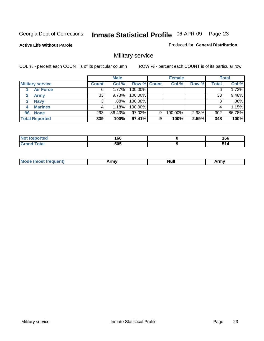**Active Life Without Parole** 

Produced for **General Distribution**

### Military service

|                         |              | <b>Male</b> |             |   | <b>Female</b> |       |              | <b>Total</b> |
|-------------------------|--------------|-------------|-------------|---|---------------|-------|--------------|--------------|
| <b>Military service</b> | <b>Count</b> | Col %       | Row % Count |   | Col %         | Row % | <b>Total</b> | Col %        |
| <b>Air Force</b>        | 6            | 1.77%       | 100.00%     |   |               |       | 6            | 1.72%        |
| <b>Army</b>             | 33           | 9.73%       | 100.00%     |   |               |       | 33           | 9.48%        |
| <b>Navy</b><br>3        |              | .88%        | 100.00%     |   |               |       | 3            | .86%         |
| <b>Marines</b><br>4     |              | 1.18%       | 100.00%     |   |               |       | 4            | 1.15%        |
| 96 None                 | 293          | 86.43%      | 97.02%      | 9 | 100.00%       | 2.98% | 302          | 86.78%       |
| <b>Total Reported</b>   | 339          | 100%        | 97.41%      | 9 | 100%          | 2.59% | 348          | 100%         |

| the condition and the con-<br>тео | 1 C C<br>vu<br>__ | 166<br>__   |
|-----------------------------------|-------------------|-------------|
| Cotot                             | 505               | ea A<br>. . |

| M<br><b>INUIL</b><br>.<br>. |
|-----------------------------|
|-----------------------------|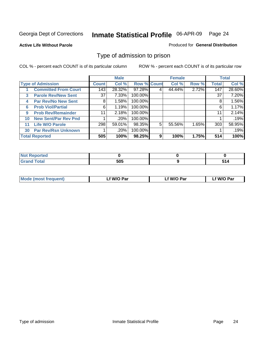#### **Active Life Without Parole**

#### Produced for **General Distribution**

### Type of admission to prison

|    |                             |              | <b>Male</b> |                    |   | <b>Female</b> |       |              | <b>Total</b> |
|----|-----------------------------|--------------|-------------|--------------------|---|---------------|-------|--------------|--------------|
|    | <b>Type of Admission</b>    | <b>Count</b> | Col %       | <b>Row % Count</b> |   | Col %         | Row % | <b>Total</b> | Col %        |
|    | <b>Committed From Court</b> | 143          | 28.32%      | 97.28%             |   | 44.44%        | 2.72% | 147          | 28.60%       |
| 3  | <b>Parole Rev/New Sent</b>  | 37           | 7.33%       | 100.00%            |   |               |       | 37           | 7.20%        |
| 4  | <b>Par Rev/No New Sent</b>  | 8            | 1.58%       | 100.00%            |   |               |       | 8            | 1.56%        |
| 6  | <b>Prob Viol/Partial</b>    | 6            | 1.19%       | 100.00%            |   |               |       | 6            | 1.17%        |
| 9  | <b>Prob Rev/Remainder</b>   | 11           | 2.18%       | 100.00%            |   |               |       | 11           | 2.14%        |
| 10 | <b>New Sent/Par Rev Pnd</b> |              | .20%        | 100.00%            |   |               |       |              | .19%         |
| 11 | <b>Life W/O Parole</b>      | 298          | 59.01%      | 98.35%             | 5 | 55.56%        | 1.65% | 303          | 58.95%       |
| 30 | <b>Par Rev/Rsn Unknown</b>  |              | .20%        | 100.00%            |   |               |       |              | .19%         |
|    | <b>Total Reported</b>       | 505          | 100%        | 98.25%             | 9 | 100%          | 1.75% | 514          | 100%         |

| eported                           |     |              |
|-----------------------------------|-----|--------------|
| <b>Total</b><br><b></b><br>$\sim$ | 505 | CA.<br>ग्राम |

| <b>Mode (most frequent)</b> | <b>W/O Par</b> | <b>W/O Par</b> | W/O Par |
|-----------------------------|----------------|----------------|---------|
|                             |                |                |         |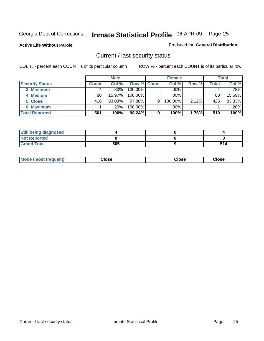**Active Life Without Parole** 

Produced for **General Distribution**

### Current / last security status

|                        |              | <b>Male</b> |                    |   | <b>Female</b> |       |       | <b>Total</b> |
|------------------------|--------------|-------------|--------------------|---|---------------|-------|-------|--------------|
| <b>Security Status</b> | <b>Count</b> | Col %       | <b>Row % Count</b> |   | Col %         | Row % | Total | Col %        |
| 3 Minimum              |              | $.80\%$     | $100.00\%$         |   | .00%          |       |       | .78%         |
| 4 Medium               | 80           | 15.97%      | $100.00\%$         |   | $.00\%$       |       | 80    | 15.69%       |
| 5 Close                | 416          | 83.03%      | $97.88\%$          | 9 | 100.00%       | 2.12% | 425   | 83.33%       |
| 6 Maximum              |              | $.20\%$     | 100.00%            |   | .00%          |       |       | $.20\%$      |
| <b>Total Reported</b>  | 501          | 100%        | 98.24%             | 9 | 100%          | 1.76% | 510   | 100%         |

| <b>Still being diagnosed</b> |     |     |
|------------------------------|-----|-----|
| <b>Not Reported</b>          |     |     |
| <b>Grand Total</b>           | 505 | 514 |

|  | <b>Mode</b><br>frequent)<br>nst | ;lose<br>- - - - | วlose<br>. | lose<br>. |
|--|---------------------------------|------------------|------------|-----------|
|--|---------------------------------|------------------|------------|-----------|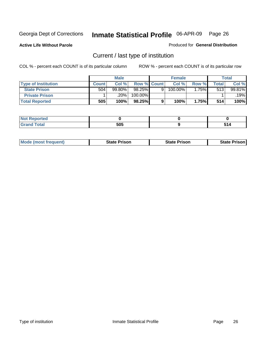**Active Life Without Parole** 

Produced for **General Distribution**

### Current / last type of institution

|                            |              | <b>Male</b> |                    |   | <b>Female</b> |       |       | <b>Total</b> |
|----------------------------|--------------|-------------|--------------------|---|---------------|-------|-------|--------------|
| <b>Type of Institution</b> | <b>Count</b> | Col%        | <b>Row % Count</b> |   | Col %         | Row % | Total | Col %        |
| <b>State Prison</b>        | 504          | $99.80\%$   | 98.25%             | Q | 100.00%       | .75%  | 513   | 99.81%       |
| <b>Private Prison</b>      |              | 20%         | 100.00%            |   |               |       |       | .19%         |
| <b>Total Reported</b>      | 505          | 100%        | 98.25%             |   | 100%          | 1.75% | 514   | 100%         |

| reol                   |     |  |
|------------------------|-----|--|
| <b>'otal</b><br>$\sim$ | 505 |  |

| <b>Mode (most frequent)</b> | <b>State Prison</b> | <b>State Prison</b> | <b>State Prison</b> |
|-----------------------------|---------------------|---------------------|---------------------|
|                             |                     |                     |                     |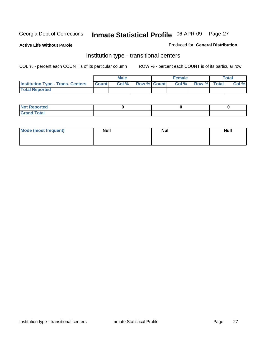**Active Life Without Parole** 

Produced for **General Distribution**

### Institution type - transitional centers

|                                                | Male  |                    | Female |             | <b>Total</b> |
|------------------------------------------------|-------|--------------------|--------|-------------|--------------|
| <b>Institution Type - Trans. Centers Count</b> | Col % | <b>Row % Count</b> | Col %  | Row % Total | Col %        |
| <b>Total Reported</b>                          |       |                    |        |             |              |

| rtea<br>20 NGL 2<br>  |  |  |
|-----------------------|--|--|
| into!<br>---<br>_____ |  |  |

| Mode (most frequent) | <b>Null</b> | <b>Null</b> | <b>Null</b> |
|----------------------|-------------|-------------|-------------|
|                      |             |             |             |
|                      |             |             |             |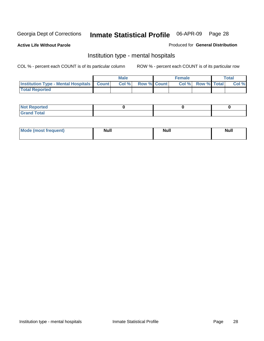**Active Life Without Parole** 

Produced for **General Distribution**

### Institution type - mental hospitals

|                                                  | <b>Male</b> |                    | <b>Female</b> |                   | <b>Total</b> |
|--------------------------------------------------|-------------|--------------------|---------------|-------------------|--------------|
| <b>Institution Type - Mental Hospitals Count</b> | Col %       | <b>Row % Count</b> |               | Col % Row % Total | Col %        |
| <b>Total Reported</b>                            |             |                    |               |                   |              |

| <b>Not Reported</b> |  |  |
|---------------------|--|--|
| <b>Fotal</b><br>Cro |  |  |

| Mode (most frequent) | <b>Null</b> | <b>Null</b> | <b>Null</b> |
|----------------------|-------------|-------------|-------------|
|                      |             |             |             |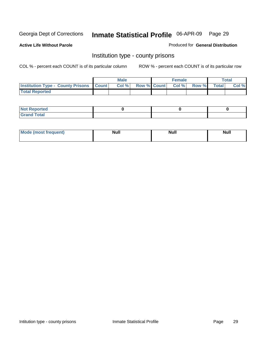**Active Life Without Parole** 

Produced for **General Distribution**

### Institution type - county prisons

|                                                    | <b>Male</b> |  | <b>Female</b>            |              |       | Total |
|----------------------------------------------------|-------------|--|--------------------------|--------------|-------|-------|
| <b>Institution Type - County Prisons   Count  </b> | Col %       |  | <b>Row % Count Col %</b> | <b>Row %</b> | Total | Col % |
| <b>Total Reported</b>                              |             |  |                          |              |       |       |

| <b>Not Reported</b>        |  |  |
|----------------------------|--|--|
| <b>Total</b><br>.Grar<br>_ |  |  |

| <b>Mo</b><br>frequent) | NI. . II<br>1u 11 | <b>Moll</b> | <b>Null</b> |
|------------------------|-------------------|-------------|-------------|
|                        |                   |             |             |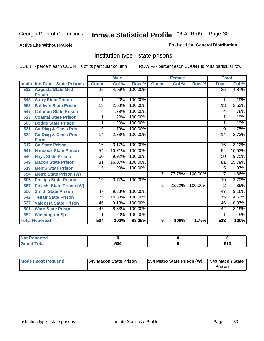#### **Active Life Without Parole**

#### Produced for **General Distribution**

### Institution type - state prisons

|     |                                         | <b>Male</b>     |        | <b>Female</b> |                |        | <b>Total</b> |                 |        |
|-----|-----------------------------------------|-----------------|--------|---------------|----------------|--------|--------------|-----------------|--------|
|     | <b>Institution Type - State Prisons</b> | <b>Count</b>    | Col %  | Row %         | <b>Count</b>   | Col %  | Row %        | <b>Total</b>    | Col %  |
|     | 532 Augusta State Med.                  | 25              | 4.96%  | 100.00%       |                |        |              | $\overline{25}$ | 4.87%  |
|     | <b>Prison</b>                           |                 |        |               |                |        |              |                 |        |
| 543 | <b>Autry State Prison</b>               | 1               | .20%   | 100.00%       |                |        |              |                 | .19%   |
| 553 | <b>Baldwin State Prison</b>             | $\overline{13}$ | 2.58%  | 100.00%       |                |        |              | $\overline{13}$ | 2.53%  |
| 547 | <b>Calhoun State Prison</b>             | 4               | .79%   | 100.00%       |                |        |              | 4               | .78%   |
| 523 | <b>Coastal State Prison</b>             | 1               | .20%   | 100.00%       |                |        |              | 1               | .19%   |
| 503 | <b>Dodge State Prison</b>               | 1               | .20%   | 100.00%       |                |        |              | 1               | .19%   |
| 521 | <b>Ga Diag &amp; Class Pris</b>         | 9               | 1.79%  | 100.00%       |                |        |              | 9               | 1.75%  |
| 522 | <b>Ga Diag &amp; Class Pris-</b>        | 14              | 2.78%  | 100.00%       |                |        |              | 14              | 2.73%  |
|     | <b>Perm</b>                             |                 |        |               |                |        |              |                 |        |
| 517 | <b>Ga State Prison</b>                  | 16              | 3.17%  | 100.00%       |                |        |              | 16              | 3.12%  |
| 541 | <b>Hancock State Prison</b>             | 54              | 10.71% | 100.00%       |                |        |              | 54              | 10.53% |
| 540 | <b>Hays State Prison</b>                | 50              | 9.92%  | 100.00%       |                |        |              | 50              | 9.75%  |
| 549 | <b>Macon State Prison</b>               | 81              | 16.07% | 100.00%       |                |        |              | 81              | 15.79% |
| 519 | <b>Men'S State Prison</b>               | 5               | .99%   | 100.00%       |                |        |              | 5               | .97%   |
| 554 | <b>Metro State Prison (W)</b>           |                 |        |               | 7              | 77.78% | 100.00%      | 7               | 1.36%  |
| 505 | <b>Phillips State Prison</b>            | 19              | 3.77%  | 100.00%       |                |        |              | $\overline{19}$ | 3.70%  |
| 557 | <b>Pulaski State Prison (W)</b>         |                 |        |               | $\overline{2}$ | 22.22% | 100.00%      | 2               | .39%   |
| 550 | <b>Smith State Prison</b>               | 47              | 9.33%  | 100.00%       |                |        |              | 47              | 9.16%  |
| 542 | <b>Telfair State Prison</b>             | $\overline{75}$ | 14.88% | 100.00%       |                |        |              | $\overline{75}$ | 14.62% |
| 537 | <b>Valdosta State Prison</b>            | 46              | 9.13%  | 100.00%       |                |        |              | 46              | 8.97%  |
| 501 | <b>Ware State Prison</b>                | 42              | 8.33%  | 100.00%       |                |        |              | 42              | 8.19%  |
| 552 | <b>Washington Sp</b>                    | 1               | .20%   | 100.00%       |                |        |              | 1               | .19%   |
|     | <b>Total Reported</b>                   | 504             | 100%   | 98.25%        | 9              | 100%   | 1.75%        | 513             | 100%   |

| <b>Reported</b><br> |     |              |
|---------------------|-----|--------------|
| <b>c</b> otal       | 504 | EAC<br>J I J |

| Mode (most frequent) | <b>1549 Macon State Prison</b> | <b>554 Metro State Prison (W)</b> | 549 Macon State<br><b>Prison</b> |
|----------------------|--------------------------------|-----------------------------------|----------------------------------|
|----------------------|--------------------------------|-----------------------------------|----------------------------------|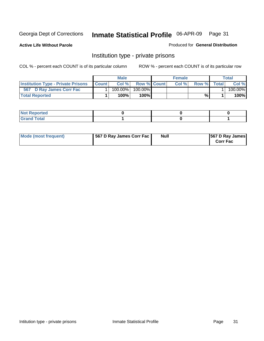**Active Life Without Parole** 

Produced for **General Distribution**

### Institution type - private prisons

|                                           |              | <b>Male</b> |               | <b>Female</b> |       |       | Total   |
|-------------------------------------------|--------------|-------------|---------------|---------------|-------|-------|---------|
| <b>Institution Type - Private Prisons</b> | <b>Count</b> | Col %       | Row % Count   | Col %         | Row % | Total | Col %   |
| 567 D Ray James Corr Fac                  |              | $100.00\%$  | 100.00%       |               |       |       | 100.00% |
| <b>Total Reported</b>                     |              | 100%        | 100% <b>I</b> |               | %     |       | 100%    |

| <b>Not Reported</b>             |  |  |
|---------------------------------|--|--|
| <b>Total</b><br>Gr2<br>$\sim$ . |  |  |

| Mode (most frequent) | 567 D Ray James Corr Fac | <b>Null</b> | <b>567 D Ray James</b><br><b>Corr Fac</b> |
|----------------------|--------------------------|-------------|-------------------------------------------|
|----------------------|--------------------------|-------------|-------------------------------------------|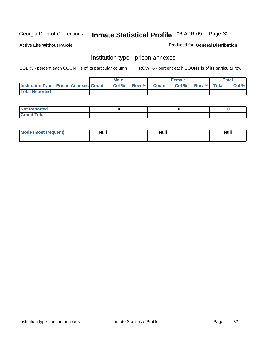**Active Life Without Parole** 

Produced for **General Distribution**

### Institution type - prison annexes

|                                                | <b>Male</b> |             | <b>Female</b> |             | <b>Total</b> |
|------------------------------------------------|-------------|-------------|---------------|-------------|--------------|
| <b>Institution Type - Prison Annexes Count</b> | Col %       | Row % Count | Col%          | Row % Total | Col %        |
| <b>Total Reported</b>                          |             |             |               |             |              |

| <b>Not Reported</b>            |  |  |
|--------------------------------|--|--|
| <b>Total</b><br>Croi<br>$\sim$ |  |  |

| Mode (most frequent) | <b>Null</b> | <b>Null</b> | <b>Null</b> |
|----------------------|-------------|-------------|-------------|
|                      |             |             |             |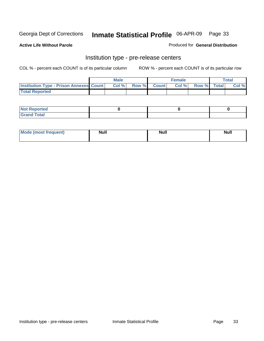**Active Life Without Parole** 

Produced for **General Distribution**

### Institution type - pre-release centers

|                                                | <b>Male</b> |                    | <b>Female</b> |             | <b>Total</b> |
|------------------------------------------------|-------------|--------------------|---------------|-------------|--------------|
| <b>Institution Type - Prison Annexes Count</b> | Col %       | <b>Row % Count</b> | Col %         | Row % Total | Col %        |
| <b>Total Reported</b>                          |             |                    |               |             |              |

| <b>Not</b><br><b>Reported</b>    |  |  |
|----------------------------------|--|--|
| <b>Total</b><br>Gran<br>$\sim$ . |  |  |

| Mode (most frequent) | <b>Null</b> | <b>Null</b> | <b>Null</b> |
|----------------------|-------------|-------------|-------------|
|                      |             |             |             |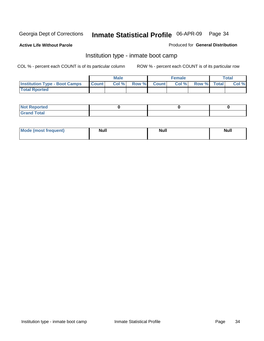**Active Life Without Parole** 

Produced for **General Distribution**

### Institution type - inmate boot camp

|                                      |              | Male  |             | <b>Female</b> |             | <b>Total</b> |
|--------------------------------------|--------------|-------|-------------|---------------|-------------|--------------|
| <b>Institution Type - Boot Camps</b> | <b>Count</b> | Col % | Row % Count | Col %         | Row % Total | Col %        |
| <b>Total Rported</b>                 |              |       |             |               |             |              |

| <b>Not Reported</b>  |  |  |
|----------------------|--|--|
| <b>Total</b><br>Croy |  |  |

| Mode (most frequent) | <b>Null</b> | <b>Null</b> | <b>Null</b> |
|----------------------|-------------|-------------|-------------|
|                      |             |             |             |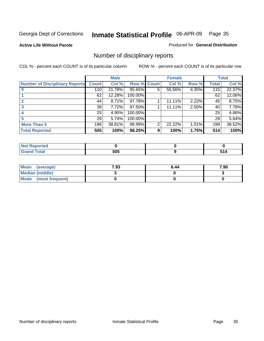**Active Life Without Parole** 

Produced for **General Distribution**

### Number of disciplinary reports

|                                       |              | <b>Male</b> |                    |   | <b>Female</b> |       |                 | <b>Total</b> |
|---------------------------------------|--------------|-------------|--------------------|---|---------------|-------|-----------------|--------------|
| <b>Number of Disciplinary Reports</b> | <b>Count</b> | Col %       | <b>Row % Count</b> |   | Col %         | Row % | <b>Total</b>    | Col %        |
|                                       | 110          | 21.78%      | 95.65%             | 5 | 55.56%        | 4.35% | 115             | 22.37%       |
|                                       | 62           | 12.28%      | 100.00%            |   |               |       | 62              | 12.06%       |
|                                       | 44           | 8.71%       | 97.78%             |   | 11.11%        | 2.22% | 45              | 8.75%        |
| 3                                     | 39           | 7.72%       | 97.50%             |   | 11.11%        | 2.50% | 40              | 7.78%        |
|                                       | 25           | 4.95%       | 100.00%            |   |               |       | 25              | 4.86%        |
|                                       | 29           | 5.74%       | 100.00%            |   |               |       | 29 <sup>1</sup> | 5.64%        |
| <b>More Than 5</b>                    | 196          | 38.81%      | 98.99%             | 2 | 22.22%        | 1.01% | 198             | 38.52%       |
| <b>Total Reported</b>                 | 505          | 100%        | 98.25%             | 9 | 100%          | 1.75% | 514             | 100%         |

| N<br>чес       |     |               |
|----------------|-----|---------------|
| T <sub>1</sub> | 505 | $\sim$ $\sim$ |

| Mean (average)       | 7.93 | 6.44 | 7.90 |
|----------------------|------|------|------|
| Median (middle)      |      |      |      |
| Mode (most frequent) |      |      |      |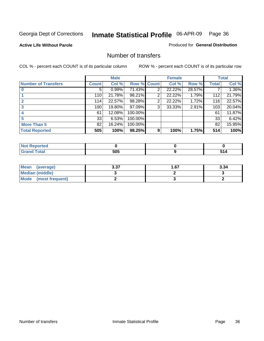**Active Life Without Parole** 

Produced for **General Distribution**

### Number of transfers

|                            |              | <b>Male</b> |             |   | <b>Female</b> |        |                 | <b>Total</b> |
|----------------------------|--------------|-------------|-------------|---|---------------|--------|-----------------|--------------|
| <b>Number of Transfers</b> | <b>Count</b> | Col %       | Row % Count |   | Col %         | Row %  | <b>Total</b>    | Col %        |
|                            | 5            | 0.99%       | 71.43%      | 2 | 22.22%        | 28.57% |                 | 1.36%        |
|                            | 110          | 21.78%      | 98.21%      | 2 | 22.22%        | 1.79%  | 112             | 21.79%       |
|                            | 114          | 22.57%      | 98.28%      | 2 | 22.22%        | 1.72%  | 116             | 22.57%       |
|                            | 100          | 19.80%      | 97.09%      | 3 | 33.33%        | 2.91%  | 103             | 20.04%       |
|                            | 61           | 12.08%      | 100.00%     |   |               |        | 61              | 11.87%       |
|                            | 33           | 6.53%       | 100.00%     |   |               |        | 33 <sup>1</sup> | 6.42%        |
| <b>More Than 5</b>         | 82           | 16.24%      | 100.00%     |   |               |        | 82              | 15.95%       |
| <b>Total Reported</b>      | 505          | 100%        | 98.25%      | 9 | 100%          | 1.75%  | 514             | 100%         |

| IN 6<br>чес. |      |               |
|--------------|------|---------------|
| $T$ stori    | 505  |               |
| ______       | $ -$ | $\sim$ $\sim$ |

| Mean (average)       | <b>225</b><br>J.J1 | l 67 | 3.34 |
|----------------------|--------------------|------|------|
| Median (middle)      |                    |      |      |
| Mode (most frequent) |                    |      |      |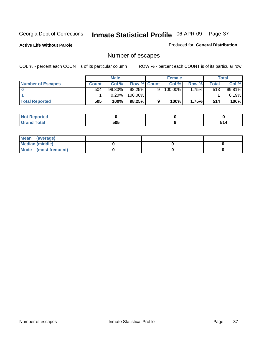**Active Life Without Parole** 

Produced for **General Distribution**

# Number of escapes

|                       |                | <b>Male</b> |                    |   | <b>Female</b> |       |       | <b>Total</b> |
|-----------------------|----------------|-------------|--------------------|---|---------------|-------|-------|--------------|
| Number of Escapes     | <b>Count</b> l | Col %       | <b>Row % Count</b> |   | Col %         | Row % | Total | Col %        |
|                       | 504            | $99.80\%$   | 98.25%             | 9 | 100.00%       | .75%  | 513   | 99.81%       |
|                       |                | 0.20%       | 100.00%            |   |               |       |       | 0.19%        |
| <b>Total Reported</b> | 505            | 100%        | $98.25\%$          |   | 100%          | 1.75% | 514   | 100%         |

| тео                             |            |  |
|---------------------------------|------------|--|
| <b>otal</b><br>$\mathbf{v}$ and | ENE<br>วบว |  |

| Mean (average)       |  |  |
|----------------------|--|--|
| Median (middle)      |  |  |
| Mode (most frequent) |  |  |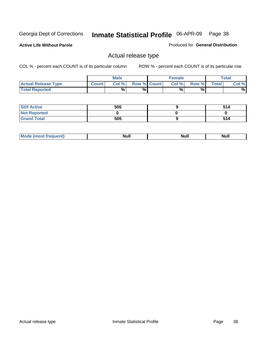**Active Life Without Parole** 

Produced for **General Distribution**

## Actual release type

|                            |              | <b>Male</b> |                    | <b>Female</b> |        |              | $\tau$ otal |
|----------------------------|--------------|-------------|--------------------|---------------|--------|--------------|-------------|
| <b>Actual Release Type</b> | <b>Count</b> | Col %1      | <b>Row % Count</b> | Col %1        | Row %I | <b>Total</b> | Col %       |
| <b>Total Reported</b>      |              | $\%$        | %                  | %             | %      |              | %           |

| <b>Still Active</b> | 505 | 514 |
|---------------------|-----|-----|
| <b>Not Reported</b> |     |     |
| <b>Grand Total</b>  | 505 | 514 |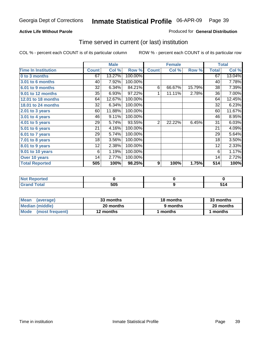## **Active Life Without Parole**

## Produced for **General Distribution**

## Time served in current (or last) institution

|                            |              | <b>Male</b> |         |                  | <b>Female</b> |        |              | <b>Total</b> |
|----------------------------|--------------|-------------|---------|------------------|---------------|--------|--------------|--------------|
| <b>Time In Institution</b> | <b>Count</b> | Col %       | Row %   | <b>Count</b>     | Col %         | Row %  | <b>Total</b> | Col %        |
| 0 to 3 months              | 67           | 13.27%      | 100.00% |                  |               |        | 67           | 13.04%       |
| 3.01 to 6 months           | 40           | 7.92%       | 100.00% |                  |               |        | 40           | 7.78%        |
| 6.01 to 9 months           | 32           | 6.34%       | 84.21%  | 6                | 66.67%        | 15.79% | 38           | 7.39%        |
| 9.01 to 12 months          | 35           | 6.93%       | 97.22%  | 1                | 11.11%        | 2.78%  | 36           | 7.00%        |
| 12.01 to 18 months         | 64           | 12.67%      | 100.00% |                  |               |        | 64           | 12.45%       |
| 18.01 to 24 months         | 32           | 6.34%       | 100.00% |                  |               |        | 32           | 6.23%        |
| $2.01$ to 3 years          | 60           | 11.88%      | 100.00% |                  |               |        | 60           | 11.67%       |
| 3.01 to 4 years            | 46           | 9.11%       | 100.00% |                  |               |        | 46           | 8.95%        |
| 4.01 to 5 years            | 29           | 5.74%       | 93.55%  | 2                | 22.22%        | 6.45%  | 31           | 6.03%        |
| 5.01 to 6 years            | 21           | 4.16%       | 100.00% |                  |               |        | 21           | 4.09%        |
| 6.01 to 7 years            | 29           | 5.74%       | 100.00% |                  |               |        | 29           | 5.64%        |
| $7.01$ to 8 years          | 18           | 3.56%       | 100.00% |                  |               |        | 18           | 3.50%        |
| 8.01 to 9 years            | 12           | 2.38%       | 100.00% |                  |               |        | 12           | 2.33%        |
| 9.01 to 10 years           | 6            | 1.19%       | 100.00% |                  |               |        | 6            | 1.17%        |
| Over 10 years              | 14           | 2.77%       | 100.00% |                  |               |        | 14           | 2.72%        |
| <b>Total Reported</b>      | 505          | 100%        | 98.25%  | $\boldsymbol{9}$ | 100%          | 1.75%  | 514          | 100%         |

| <b>Not Reported</b> |            |  |
|---------------------|------------|--|
| <b>Total</b>        | ENE<br>ບບປ |  |

| <b>Mean</b><br>(average) | 33 months | 18 months | 33 months |
|--------------------------|-----------|-----------|-----------|
| Median (middle)          | 20 months | 9 months  | 20 months |
| Mode (most frequent)     | 12 months | ' months  | months    |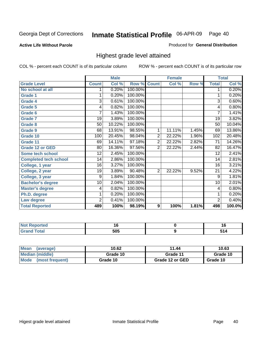**Active Life Without Parole** 

Produced for **General Distribution**

## Highest grade level attained

|                              |              | <b>Male</b> |         |                | <b>Female</b> |       |                 | <b>Total</b> |
|------------------------------|--------------|-------------|---------|----------------|---------------|-------|-----------------|--------------|
| <b>Grade Level</b>           | <b>Count</b> | Col %       | Row %   | <b>Count</b>   | Col %         | Row % | <b>Total</b>    | Col %        |
| No school at all             |              | 0.20%       | 100.00% |                |               |       | 1               | 0.20%        |
| <b>Grade 1</b>               |              | 0.20%       | 100.00% |                |               |       | 1               | 0.20%        |
| <b>Grade 4</b>               | 3            | 0.61%       | 100.00% |                |               |       | $\overline{3}$  | 0.60%        |
| Grade 5                      | 4            | 0.82%       | 100.00% |                |               |       | 4               | 0.80%        |
| Grade 6                      | 7            | 1.43%       | 100.00% |                |               |       | $\overline{7}$  | 1.41%        |
| <b>Grade 7</b>               | 19           | 3.89%       | 100.00% |                |               |       | 19              | 3.82%        |
| <b>Grade 8</b>               | 50           | 10.22%      | 100.00% |                |               |       | 50              | 10.04%       |
| Grade 9                      | 68           | 13.91%      | 98.55%  | $\mathbf 1$    | 11.11%        | 1.45% | 69              | 13.86%       |
| Grade 10                     | 100          | 20.45%      | 98.04%  | $\overline{2}$ | 22.22%        | 1.96% | 102             | 20.48%       |
| Grade 11                     | 69           | 14.11%      | 97.18%  | $\overline{2}$ | 22.22%        | 2.82% | 71              | 14.26%       |
| <b>Grade 12 or GED</b>       | 80           | 16.36%      | 97.56%  | $\overline{2}$ | 22.22%        | 2.44% | 82              | 16.47%       |
| <b>Some tech school</b>      | 12           | 2.45%       | 100.00% |                |               |       | 12              | 2.41%        |
| <b>Completed tech school</b> | 14           | 2.86%       | 100.00% |                |               |       | 14              | 2.81%        |
| College, 1 year              | 16           | 3.27%       | 100.00% |                |               |       | 16              | 3.21%        |
| College, 2 year              | 19           | 3.89%       | 90.48%  | $\overline{2}$ | 22.22%        | 9.52% | 21              | 4.22%        |
| College, 3 year              | 9            | 1.84%       | 100.00% |                |               |       | 9               | 1.81%        |
| <b>Bachelor's degree</b>     | 10           | 2.04%       | 100.00% |                |               |       | $\overline{10}$ | 2.01%        |
| <b>Master's degree</b>       | 4            | 0.82%       | 100.00% |                |               |       | 4               | 0.80%        |
| Ph.D. degree                 | 1            | 0.20%       | 100.00% |                |               |       | 1               | 0.20%        |
| Law degree                   | 2            | 0.41%       | 100.00% |                |               |       | $\overline{2}$  | 0.40%        |
| <b>Total Reported</b>        | 489          | 100%        | 98.19%  | 9              | 100%          | 1.81% | 498             | 100.0%       |

| <b>Not Reported</b>   | ט ו | 16 |
|-----------------------|-----|----|
| <b>Total</b><br>Grand | 505 |    |

| <b>Mean</b><br>(average)       | 10.62    | 11.44           | 10.63    |
|--------------------------------|----------|-----------------|----------|
| Median (middle)                | Grade 10 | Grade 11        | Grade 10 |
| <b>Mode</b><br>(most frequent) | Grade 10 | Grade 12 or GED | Grade 10 |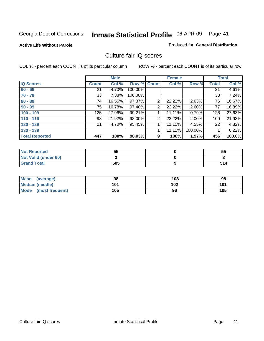### **Active Life Without Parole**

### Produced for **General Distribution**

## Culture fair IQ scores

|                       |              | <b>Male</b> |             |   | <b>Female</b> |          |              | <b>Total</b> |
|-----------------------|--------------|-------------|-------------|---|---------------|----------|--------------|--------------|
| <b>IQ Scores</b>      | <b>Count</b> | Col %       | Row % Count |   | Col %         | Row %    | <b>Total</b> | Col %        |
| $60 - 69$             | 21           | 4.70%       | 100.00%     |   |               |          | 21           | 4.61%        |
| $70 - 79$             | 33           | 7.38%       | 100.00%     |   |               |          | 33           | 7.24%        |
| $80 - 89$             | 74           | 16.55%      | 97.37%      | 2 | 22.22%        | 2.63%    | 76           | 16.67%       |
| $90 - 99$             | 75           | 16.78%      | 97.40%      | 2 | 22.22%        | 2.60%    | 77           | 16.89%       |
| $100 - 109$           | 125          | 27.96%      | 99.21%      |   | 11.11%        | 0.79%    | 126          | 27.63%       |
| $110 - 119$           | 98           | 21.92%      | 98.00%      | 2 | 22.22%        | $2.00\%$ | 100          | 21.93%       |
| $120 - 129$           | 21           | 4.70%       | 95.45%      | 1 | 11.11%        | 4.55%    | 22           | 4.82%        |
| $130 - 139$           |              |             |             |   | 11.11%        | 100.00%  |              | 0.22%        |
| <b>Total Reported</b> | 447          | 100%        | 98.03%      | 9 | 100%          | 1.97%    | 456          | 100.0%       |

| <b>Not Reported</b>  | 55  | 55  |
|----------------------|-----|-----|
| Not Valid (under 60) |     |     |
| <b>Grand Total</b>   | 505 | 514 |

| <b>Mean</b><br>(average) | 98  | 108 | 98  |
|--------------------------|-----|-----|-----|
| <b>Median (middle)</b>   | 101 | 102 | 101 |
| Mode (most frequent)     | 105 | 96  | 105 |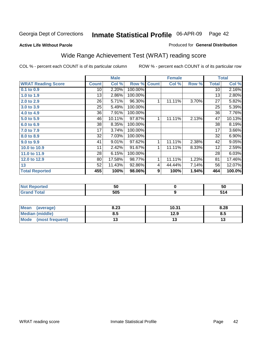## **Active Life Without Parole**

## Produced for **General Distribution**

# Wide Range Achievement Test (WRAT) reading score

|                           |              | <b>Male</b> |         |                  | <b>Female</b> |       |                 | <b>Total</b> |
|---------------------------|--------------|-------------|---------|------------------|---------------|-------|-----------------|--------------|
| <b>WRAT Reading Score</b> | <b>Count</b> | Col %       | Row %   | <b>Count</b>     | Col %         | Row % | <b>Total</b>    | Col %        |
| $0.1$ to $0.9$            | 10           | 2.20%       | 100.00% |                  |               |       | $\overline{10}$ | 2.16%        |
| 1.0 to 1.9                | 13           | 2.86%       | 100.00% |                  |               |       | 13              | 2.80%        |
| 2.0 to 2.9                | 26           | 5.71%       | 96.30%  | 1                | 11.11%        | 3.70% | 27              | 5.82%        |
| 3.0 to 3.9                | 25           | 5.49%       | 100.00% |                  |               |       | 25              | 5.39%        |
| 4.0 to 4.9                | 36           | 7.91%       | 100.00% |                  |               |       | 36              | 7.76%        |
| 5.0 to 5.9                | 46           | 10.11%      | 97.87%  | 1                | 11.11%        | 2.13% | 47              | 10.13%       |
| 6.0 to 6.9                | 38           | 8.35%       | 100.00% |                  |               |       | 38              | 8.19%        |
| 7.0 to 7.9                | 17           | 3.74%       | 100.00% |                  |               |       | 17              | 3.66%        |
| 8.0 to 8.9                | 32           | 7.03%       | 100.00% |                  |               |       | 32              | 6.90%        |
| 9.0 to 9.9                | 41           | 9.01%       | 97.62%  | 1                | 11.11%        | 2.38% | 42              | 9.05%        |
| 10.0 to 10.9              | 11           | 2.42%       | 91.67%  | 1                | 11.11%        | 8.33% | 12              | 2.59%        |
| 11.0 to 11.9              | 28           | 6.15%       | 100.00% |                  |               |       | 28              | 6.03%        |
| 12.0 to 12.9              | 80           | 17.58%      | 98.77%  | 1                | 11.11%        | 1.23% | 81              | 17.46%       |
| 13                        | 52           | 11.43%      | 92.86%  | 4                | 44.44%        | 7.14% | 56              | 12.07%       |
| <b>Total Reported</b>     | 455          | 100%        | 98.06%  | $\boldsymbol{9}$ | 100%          | 1.94% | 464             | 100.0%       |
|                           |              |             |         |                  |               |       |                 |              |
|                           |              |             |         |                  |               |       |                 |              |

| тео    | วบ         | วบ |
|--------|------------|----|
| ------ | EAE<br>JU. |    |

| <b>Mean</b><br>(average) | 8.23 | 10.31 | 8.28 |
|--------------------------|------|-------|------|
| <b>Median (middle)</b>   | 8.5  | 12.9  | ၓ.ͻ  |
| Mode<br>(most frequent)  | 1 J  | ט ו   | ⋯    |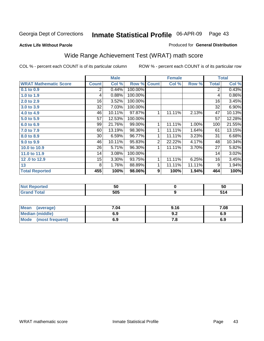## **Active Life Without Parole**

### Produced for **General Distribution**

# Wide Range Achievement Test (WRAT) math score

|                              |                  | <b>Male</b> |         |                | <b>Female</b> |        |              | <b>Total</b> |
|------------------------------|------------------|-------------|---------|----------------|---------------|--------|--------------|--------------|
| <b>WRAT Mathematic Score</b> | <b>Count</b>     | Col %       | Row %   | <b>Count</b>   | Col %         | Row %  | <b>Total</b> | Col %        |
| 0.1 to 0.9                   | $\overline{2}$   | 0.44%       | 100.00% |                |               |        | 2            | 0.43%        |
| 1.0 to 1.9                   | 4                | 0.88%       | 100.00% |                |               |        | 4            | 0.86%        |
| 2.0 to 2.9                   | 16               | 3.52%       | 100.00% |                |               |        | 16           | 3.45%        |
| 3.0 to 3.9                   | 32               | 7.03%       | 100.00% |                |               |        | 32           | 6.90%        |
| 4.0 to 4.9                   | 46               | 10.11%      | 97.87%  | 1              | 11.11%        | 2.13%  | 47           | 10.13%       |
| 5.0 to 5.9                   | 57               | 12.53%      | 100.00% |                |               |        | 57           | 12.28%       |
| 6.0 to 6.9                   | 99               | 21.76%      | 99.00%  | 1              | 11.11%        | 1.00%  | 100          | 21.55%       |
| 7.0 to 7.9                   | 60               | 13.19%      | 98.36%  | 1              | 11.11%        | 1.64%  | 61           | 13.15%       |
| 8.0 to 8.9                   | 30               | 6.59%       | 96.77%  | 1              | 11.11%        | 3.23%  | 31           | 6.68%        |
| 9.0 to 9.9                   | 46               | 10.11%      | 95.83%  | 2 <sub>1</sub> | 22.22%        | 4.17%  | 48           | 10.34%       |
| 10.0 to 10.9                 | 26               | 5.71%       | 96.30%  | 1              | 11.11%        | 3.70%  | 27           | 5.82%        |
| 11.0 to 11.9                 | 14               | 3.08%       | 100.00% |                |               |        | 14           | 3.02%        |
| 12.0 to 12.9                 | 15 <sub>15</sub> | 3.30%       | 93.75%  | 1              | 11.11%        | 6.25%  | 16           | 3.45%        |
| 13                           | 8                | 1.76%       | 88.89%  | 1              | 11.11%        | 11.11% | 9            | 1.94%        |
| <b>Total Reported</b>        | 455              | 100%        | 98.06%  | 9              | 100%          | 1.94%  | 464          | 100%         |

| <b>Not Reported</b> | 50  | 50 |
|---------------------|-----|----|
| <b>Grand Total</b>  | 505 |    |

| Mean (average)         | 7.04 | 9.16 | 7.08 |
|------------------------|------|------|------|
| <b>Median (middle)</b> | 6.9  | J.Z  | 6.9  |
| Mode (most frequent)   | 6.9  | 7.a  | 6.9  |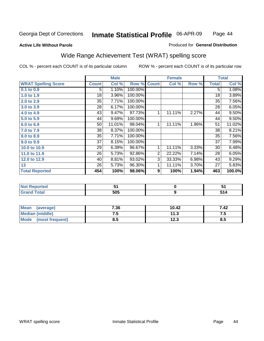Page 44

### **Active Life Without Parole**

### Produced for **General Distribution**

## Wide Range Achievement Test (WRAT) spelling score

|                            |              | <b>Male</b> |         |                | <b>Female</b> |       | <b>Total</b> |        |
|----------------------------|--------------|-------------|---------|----------------|---------------|-------|--------------|--------|
| <b>WRAT Spelling Score</b> | <b>Count</b> | Col %       | Row %   | <b>Count</b>   | Col %         | Row % | <b>Total</b> | Col %  |
| $0.1$ to $0.9$             | 5            | 1.10%       | 100.00% |                |               |       | 5            | 1.08%  |
| 1.0 to 1.9                 | 18           | 3.96%       | 100.00% |                |               |       | 18           | 3.89%  |
| 2.0 to 2.9                 | 35           | 7.71%       | 100.00% |                |               |       | 35           | 7.56%  |
| 3.0 to 3.9                 | 28           | 6.17%       | 100.00% |                |               |       | 28           | 6.05%  |
| 4.0 to 4.9                 | 43           | 9.47%       | 97.73%  | 1              | 11.11%        | 2.27% | 44           | 9.50%  |
| 5.0 to 5.9                 | 44           | 9.69%       | 100.00% |                |               |       | 44           | 9.50%  |
| 6.0 to 6.9                 | 50           | 11.01%      | 98.04%  | 1              | 11.11%        | 1.96% | 51           | 11.02% |
| 7.0 to 7.9                 | 38           | 8.37%       | 100.00% |                |               |       | 38           | 8.21%  |
| 8.0 to 8.9                 | 35           | 7.71%       | 100.00% |                |               |       | 35           | 7.56%  |
| 9.0 to 9.9                 | 37           | 8.15%       | 100.00% |                |               |       | 37           | 7.99%  |
| 10.0 to 10.9               | 29           | 6.39%       | 96.67%  | 1              | 11.11%        | 3.33% | 30           | 6.48%  |
| 11.0 to 11.9               | 26           | 5.73%       | 92.86%  | $\overline{2}$ | 22.22%        | 7.14% | 28           | 6.05%  |
| 12.0 to 12.9               | 40           | 8.81%       | 93.02%  | 3              | 33.33%        | 6.98% | 43           | 9.29%  |
| 13                         | 26           | 5.73%       | 96.30%  | 1              | 11.11%        | 3.70% | 27           | 5.83%  |
| <b>Total Reported</b>      | 454          | 100%        | 98.06%  | 9              | 100%          | 1.94% | 463          | 100.0% |
|                            |              |             |         |                |               |       |              |        |
| <b>Not Reported</b>        |              | 51          |         |                | $\pmb{0}$     |       |              | 51     |
| <b>Grand Total</b>         |              | 505         |         |                | 9             |       |              | 514    |

| <b>Mean</b><br>(average) | 7.36 | 10.42         | 7.42 |
|--------------------------|------|---------------|------|
| Median (middle)          | ن.   | 117<br>د. ا   | ن. ا |
| Mode<br>(most frequent)  | 8.5  | 1つ つ<br>د.ء ا | ၓ.ͻ  |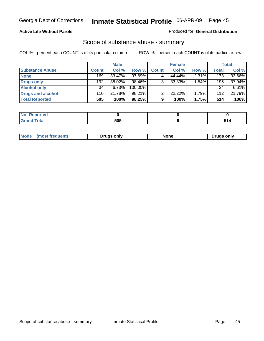## **Active Life Without Parole**

### Produced for **General Distribution**

## Scope of substance abuse - summary

|                        |                  | <b>Male</b> |            |              | <b>Female</b> |          |              | Total    |
|------------------------|------------------|-------------|------------|--------------|---------------|----------|--------------|----------|
| <b>Substance Abuse</b> | <b>Count</b>     | Col %       | Row %      | <b>Count</b> | Col %         | Row %    | <b>Total</b> | Col %    |
| <b>None</b>            | 169 <sub>1</sub> | $33.47\%$   | 97.69%     |              | 44.44%        | $2.31\%$ | 173          | 33.66%   |
| Drugs only             | 192              | 38.02%      | 98.46%     | 3            | 33.33%        | 1.54%    | 195          | 37.94%   |
| <b>Alcohol only</b>    | 34               | 6.73%       | $100.00\%$ |              |               |          | 34           | $6.61\%$ |
| Drugs and alcohol      | 110              | 21.78%      | $98.21\%$  | ົ            | 22.22%        | 1.79%    | 112          | 21.79%   |
| <b>Total Reported</b>  | 505              | 100%        | 98.25%     | 9            | 100%          | 1.75%    | 514          | 100%     |

| .<br>Reported       |     |  |
|---------------------|-----|--|
| <b>Total</b><br>--- | 505 |  |

|  | Mode<br>ונוצוווי | Druas onlv | None | only<br>Pruas . |
|--|------------------|------------|------|-----------------|
|--|------------------|------------|------|-----------------|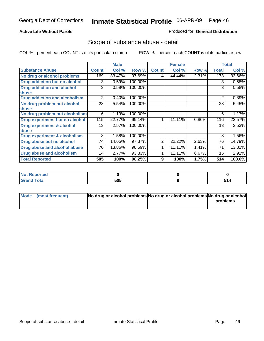## **Active Life Without Parole**

## Produced for **General Distribution**

## Scope of substance abuse - detail

|                                      |              | <b>Male</b> |         |              | <b>Female</b> |       |                | <b>Total</b> |
|--------------------------------------|--------------|-------------|---------|--------------|---------------|-------|----------------|--------------|
| <b>Substance Abuse</b>               | <b>Count</b> | Col %       | Row %   | <b>Count</b> | Col %         | Row % | <b>Total</b>   | Col %        |
| No drug or alcohol problems          | 169          | 33.47%      | 97.69%  | 4            | 44.44%        | 2.31% | 173            | 33.66%       |
| Drug addiction but no alcohol        | 3            | 0.59%       | 100.00% |              |               |       | 3              | 0.58%        |
| <b>Drug addiction and alcohol</b>    | 3            | 0.59%       | 100.00% |              |               |       | 3              | 0.58%        |
| abuse                                |              |             |         |              |               |       |                |              |
| <b>Drug addiction and alcoholism</b> | 2            | 0.40%       | 100.00% |              |               |       | $\overline{2}$ | 0.39%        |
| No drug problem but alcohol          | 28           | 5.54%       | 100.00% |              |               |       | 28             | 5.45%        |
| abuse                                |              |             |         |              |               |       |                |              |
| No drug problem but alcoholism       | 6            | 1.19%       | 100.00% |              |               |       | 6              | 1.17%        |
| Drug experiment but no alcohol       | 115          | 22.77%      | 99.14%  | 1            | 11.11%        | 0.86% | 116            | 22.57%       |
| <b>Drug experiment &amp; alcohol</b> | 13           | 2.57%       | 100.00% |              |               |       | 13             | 2.53%        |
| abuse                                |              |             |         |              |               |       |                |              |
| Drug experiment & alcoholism         | 8            | 1.58%       | 100.00% |              |               |       | 8              | 1.56%        |
| Drug abuse but no alcohol            | 74           | 14.65%      | 97.37%  | 2            | 22.22%        | 2.63% | 76             | 14.79%       |
| Drug abuse and alcohol abuse         | 70           | 13.86%      | 98.59%  |              | 11.11%        | 1.41% | 71             | 13.81%       |
| Drug abuse and alcoholism            | 14           | 2.77%       | 93.33%  |              | 11.11%        | 6.67% | 15             | 2.92%        |
| <b>Total Reported</b>                | 505          | 100%        | 98.25%  | 9            | 100%          | 1.75% | 514            | 100.0%       |

| <b>Not Reported</b> |     |          |
|---------------------|-----|----------|
| <b>Total</b>        | 505 | ΞИ.<br>. |

| Mode (most frequent) | No drug or alcohol problems No drug or alcohol problems No drug or alcohol |          |
|----------------------|----------------------------------------------------------------------------|----------|
|                      |                                                                            | problems |
|                      |                                                                            |          |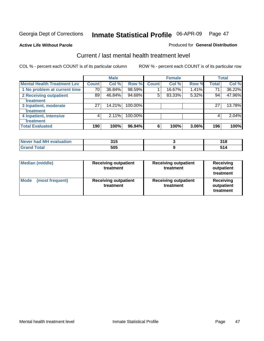## **Active Life Without Parole**

### Produced for **General Distribution**

## Current / last mental health treatment level

|                                    |              | <b>Male</b> |         |              | <b>Female</b> |       |              | <b>Total</b> |
|------------------------------------|--------------|-------------|---------|--------------|---------------|-------|--------------|--------------|
| <b>Mental Health Treatment Lev</b> | <b>Count</b> | Col %       | Row %   | <b>Count</b> | Col %         | Row % | <b>Total</b> | Col %        |
| 1 No problem at current time       | 70           | 36.84%      | 98.59%  |              | 16.67%        | 1.41% | 71           | 36.22%       |
| 2 Receiving outpatient             | 89           | 46.84%      | 94.68%  | 5            | 83.33%        | 5.32% | 94           | 47.96%       |
| treatment                          |              |             |         |              |               |       |              |              |
| 3 Inpatient, moderate              | 27           | 14.21%      | 100.00% |              |               |       | 27           | 13.78%       |
| treatment                          |              |             |         |              |               |       |              |              |
| 4 Inpatient, intensive             | 4            | 2.11%       | 100.00% |              |               |       | 4            | 2.04%        |
| treatment                          |              |             |         |              |               |       |              |              |
| <b>Total Evaluated</b>             | 190          | 100%        | 96.94%  | 6            | 100%          | 3.06% | 196          | 100%         |

| Never had MH evaluation | 24E<br>J I J | <b>240</b><br>JIU |
|-------------------------|--------------|-------------------|
| Total                   | 505          |                   |

| <b>Median (middle)</b>         | <b>Receiving outpatient</b><br>treatment | <b>Receiving outpatient</b><br>treatment | <b>Receiving</b><br>outpatient<br>treatment |  |
|--------------------------------|------------------------------------------|------------------------------------------|---------------------------------------------|--|
| <b>Mode</b><br>(most frequent) | <b>Receiving outpatient</b><br>treatment | <b>Receiving outpatient</b><br>treatment | Receiving<br>outpatient<br>treatment        |  |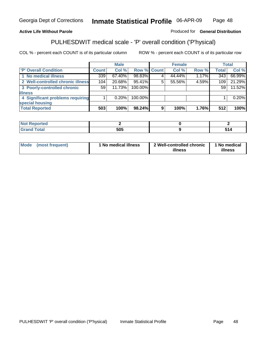## **Active Life Without Parole**

## Produced for **General Distribution**

# PULHESDWIT medical scale - 'P' overall condition ('P'hysical)

|                                   |         | <b>Male</b> |             |   | <b>Female</b> |       |              | <b>Total</b> |
|-----------------------------------|---------|-------------|-------------|---|---------------|-------|--------------|--------------|
| 'P' Overall Condition             | Count l | Col %       | Row % Count |   | Col %         | Row % | <b>Total</b> | Col %        |
| 1 No medical illness              | 339     | 67.40%      | 98.83%      |   | 44.44%        | 1.17% | 343          | 66.99%       |
| 2 Well-controlled chronic illness | 104     | 20.68%      | 95.41%      |   | 55.56%        | 4.59% | 109          | 21.29%       |
| 3 Poorly-controlled chronic       | 59      | 11.73%      | 100.00%     |   |               |       | 59           | 11.52%       |
| <b>illness</b>                    |         |             |             |   |               |       |              |              |
| 4 Significant problems requiring  |         | 0.20%       | 100.00%     |   |               |       |              | 0.20%        |
| special housing                   |         |             |             |   |               |       |              |              |
| <b>Total Reported</b>             | 503     | 100%        | 98.24%      | 9 | 100%          | 1.76% | 512          | 100%         |

| Not Reported |     |     |
|--------------|-----|-----|
| <b>otal</b>  | 505 | - - |

| Mode            | ' No medical illness | 2 Well-controlled chronic | 1 No medical |
|-----------------|----------------------|---------------------------|--------------|
| (most frequent) |                      | illness                   | illness      |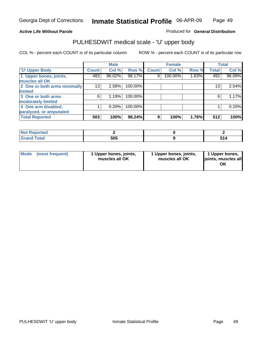## **Active Life Without Parole**

Produced for **General Distribution**

## PULHESDWIT medical scale - 'U' upper body

|                              |              | <b>Male</b> |         |              | <b>Female</b> |       |              | <b>Total</b> |
|------------------------------|--------------|-------------|---------|--------------|---------------|-------|--------------|--------------|
| <b>TU' Upper Body</b>        | <b>Count</b> | Col %       | Row %   | <b>Count</b> | Col %         | Row % | <b>Total</b> | Col %        |
| 1 Upper bones, joints,       | 483          | 96.02%      | 98.17%  | 9            | 100.00%       | 1.83% | 492          | 96.09%       |
| muscles all OK               |              |             |         |              |               |       |              |              |
| 2 One or both arms minimally | 13           | 2.58%       | 100.00% |              |               |       | 13           | 2.54%        |
| limited                      |              |             |         |              |               |       |              |              |
| 3 One or both arms           | 6            | 1.19%       | 100.00% |              |               |       | 6            | 1.17%        |
| moderately limited           |              |             |         |              |               |       |              |              |
| 4 One arm disabled,          |              | 0.20%       | 100.00% |              |               |       |              | 0.20%        |
| paralyzed, or amputated      |              |             |         |              |               |       |              |              |
| <b>Total Reported</b>        | 503          | 100%        | 98.24%  | 9            | 100%          | 1.76% | 512          | 100%         |

| .<br>'N I<br>τeα<br>. |     |  |
|-----------------------|-----|--|
| $C = 4$<br>υιαι       | 505 |  |

| <b>Mode</b> | (most frequent) | 1 Upper bones, joints,<br>muscles all OK | 1 Upper bones, joints,<br>muscles all OK | 1 Upper bones,<br>joints, muscles all<br>OK |
|-------------|-----------------|------------------------------------------|------------------------------------------|---------------------------------------------|
|-------------|-----------------|------------------------------------------|------------------------------------------|---------------------------------------------|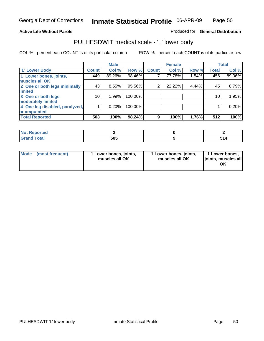### **Active Life Without Parole**

### Produced for **General Distribution**

## PULHESDWIT medical scale - 'L' lower body

|                                |              | <b>Male</b> |         |                | <b>Female</b> |       |              | <b>Total</b> |
|--------------------------------|--------------|-------------|---------|----------------|---------------|-------|--------------|--------------|
| <b>L' Lower Body</b>           | <b>Count</b> | Col %       | Row %   | <b>Count</b>   | Col %         | Row % | <b>Total</b> | Col %        |
| 1 Lower bones, joints,         | 449          | 89.26%      | 98.46%  |                | 77.78%        | 1.54% | 456          | 89.06%       |
| muscles all OK                 |              |             |         |                |               |       |              |              |
| 2 One or both legs minimally   | 43           | 8.55%       | 95.56%  | $\overline{2}$ | 22.22%        | 4.44% | 45           | 8.79%        |
| limited                        |              |             |         |                |               |       |              |              |
| 3 One or both legs             | 10           | 1.99%       | 100.00% |                |               |       | 10           | 1.95%        |
| moderately limited             |              |             |         |                |               |       |              |              |
| 4 One leg disabled, paralyzed, |              | 0.20%       | 100.00% |                |               |       |              | 0.20%        |
| or amputated                   |              |             |         |                |               |       |              |              |
| <b>Total Reported</b>          | 503          | 100%        | 98.24%  | 9              | 100%          | 1.76% | 512          | 100%         |

| <b><i>College Address</i></b><br>тео |     |     |
|--------------------------------------|-----|-----|
| $f = 4 \pi r$<br>ι υιαι<br>--        | 505 | . . |

|  | Mode (most frequent) | 1 Lower bones, joints,<br>muscles all OK | 1 Lower bones, joints,<br>muscles all OK | 1 Lower bones,<br>joints, muscles all<br>OK |
|--|----------------------|------------------------------------------|------------------------------------------|---------------------------------------------|
|--|----------------------|------------------------------------------|------------------------------------------|---------------------------------------------|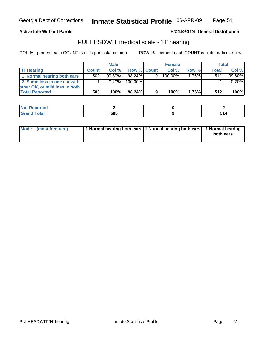**Active Life Without Parole** 

Produced for **General Distribution**

## PULHESDWIT medical scale - 'H' hearing

|                                | <b>Male</b>  |           |                    | <b>Female</b> |         |       | Total        |        |
|--------------------------------|--------------|-----------|--------------------|---------------|---------|-------|--------------|--------|
| 'H' Hearing                    | <b>Count</b> | Col %     | <b>Row % Count</b> |               | Col%    | Row % | <b>Total</b> | Col %  |
| 1 Normal hearing both ears     | 502          | $99.80\%$ | 98.24%             | 9             | 100.00% | 1.76% | 511          | 99.80% |
| 2 Some loss in one ear with    |              | 0.20%     | 100.00%            |               |         |       |              | 0.20%  |
| other OK, or mild loss in both |              |           |                    |               |         |       |              |        |
| <b>Total Reported</b>          | 503          | 100%      | 98.24%             |               | 100%    | 1.76% | 512          | 100%   |

| тео                |     |             |
|--------------------|-----|-------------|
| ---<br>----- ----- | EAE | . .<br>JIT. |

| Mode (most frequent) | 1 Normal hearing both ears 1 Normal hearing both ears 1 Normal hearing | both ears |
|----------------------|------------------------------------------------------------------------|-----------|
|                      |                                                                        |           |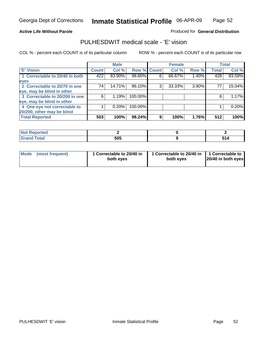## **Active Life Without Parole**

## Produced for **General Distribution**

## PULHESDWIT medical scale - 'E' vision

|                                |       | <b>Male</b> |             |   | <b>Female</b> |       |              | <b>Total</b> |
|--------------------------------|-------|-------------|-------------|---|---------------|-------|--------------|--------------|
| <b>E' Vision</b>               | Count | Col %       | Row % Count |   | Col %         | Row % | <b>Total</b> | Col %        |
| 1 Correctable to 20/40 in both | 422   | 83.90%      | 98.60%      | 6 | 66.67%        | 1.40% | 428          | 83.59%       |
| eyes                           |       |             |             |   |               |       |              |              |
| 2 Correctable to 20/70 in one  | 74    | 14.71%      | 96.10%      | 3 | 33.33%        | 3.90% | 77           | 15.04%       |
| eye, may be blind in other     |       |             |             |   |               |       |              |              |
| 3 Correctable to 20/200 in one | 6     | 1.19%       | 100.00%     |   |               |       | 6            | 1.17%        |
| eye, may be blind in other     |       |             |             |   |               |       |              |              |
| 4 One eye not correctable to   |       | 0.20%       | 100.00%     |   |               |       |              | 0.20%        |
| 20/200, other may be blind     |       |             |             |   |               |       |              |              |
| <b>Total Reported</b>          | 503   | 100%        | 98.24%      | 9 | 100%          | 1.76% | 512          | 100%         |

| <b>Not Reported</b> |     |  |
|---------------------|-----|--|
| <b>Total</b><br>--- | 505 |  |

| Mode (most frequent) | 1 Correctable to 20/40 in<br>both eves | 1 Correctable to 20/40 in   1 Correctable to  <br>both eves | 20/40 in both eyes |
|----------------------|----------------------------------------|-------------------------------------------------------------|--------------------|
|----------------------|----------------------------------------|-------------------------------------------------------------|--------------------|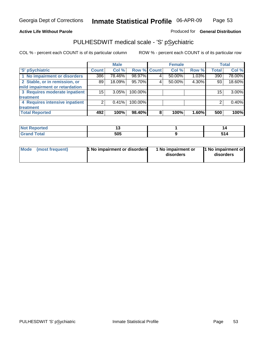## **Active Life Without Parole**

## Produced for **General Distribution**

## PULHESDWIT medical scale - 'S' pSychiatric

|                                |              | <b>Male</b> |             |   | <b>Female</b> |       |              | <b>Total</b> |
|--------------------------------|--------------|-------------|-------------|---|---------------|-------|--------------|--------------|
| 'S' pSychiatric                | <b>Count</b> | Col %       | Row % Count |   | Col %         | Row % | <b>Total</b> | Col %        |
| 1 No impairment or disorders   | 386          | 78.46%      | 98.97%      | 4 | 50.00%        | 1.03% | 390          | 78.00%       |
| 2 Stable, or in remission, or  | 89           | 18.09%      | 95.70%      | 4 | 50.00%        | 4.30% | 93           | 18.60%       |
| mild impairment or retardation |              |             |             |   |               |       |              |              |
| 3 Requires moderate inpatient  | 15           | 3.05%       | 100.00%     |   |               |       | 15           | $3.00\%$     |
| treatment                      |              |             |             |   |               |       |              |              |
| 4 Requires intensive inpatient |              | 0.41%       | 100.00%     |   |               |       |              | 0.40%        |
| treatment                      |              |             |             |   |               |       |              |              |
| <b>Total Reported</b>          | 492          | 100%        | 98.40%      | 8 | 100%          | 1.60% | 500          | 100%         |

| ритео       |     |       |
|-------------|-----|-------|
| <b>otal</b> | 505 | . . - |

| Mode (most frequent) | <b>1</b> No impairment or disorders | 1 No impairment or<br>disorders | 11 No impairment or<br>disorders |
|----------------------|-------------------------------------|---------------------------------|----------------------------------|
|----------------------|-------------------------------------|---------------------------------|----------------------------------|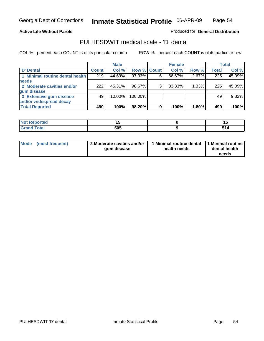Page 54

### **Active Life Without Parole**

Produced for **General Distribution**

## PULHESDWIT medical scale - 'D' dental

|                                 |       | <b>Male</b> |             |   | <b>Female</b> |       |              | <b>Total</b> |
|---------------------------------|-------|-------------|-------------|---|---------------|-------|--------------|--------------|
| <b>D'</b> Dental                | Count | Col %       | Row % Count |   | Col %         | Row % | <b>Total</b> | Col %        |
| 1 Minimal routine dental health | 219   | 44.69%      | 97.33%      |   | 66.67%        | 2.67% | 225          | 45.09%       |
| <b>needs</b>                    |       |             |             |   |               |       |              |              |
| 2 Moderate cavities and/or      | 222   | 45.31%      | 98.67%      |   | 33.33%        | 1.33% | 225          | 45.09%       |
| gum disease                     |       |             |             |   |               |       |              |              |
| 3 Extensive gum disease         | 49    | 10.00%      | 100.00%     |   |               |       | 49           | 9.82%        |
| and/or widespread decay         |       |             |             |   |               |       |              |              |
| <b>Total Reported</b>           | 490   | 100%        | 98.20%      | 9 | 100%          | 1.80% | 499          | 100%         |

|                   | $\sim$ |  |
|-------------------|--------|--|
| $\cdots$ $\cdots$ | 505    |  |

| Mode (most frequent) | 2 Moderate cavities and/or<br>qum disease | I Minimal routine dental<br>health needs | 1 Minimal routine<br>dental health<br>needs |
|----------------------|-------------------------------------------|------------------------------------------|---------------------------------------------|
|----------------------|-------------------------------------------|------------------------------------------|---------------------------------------------|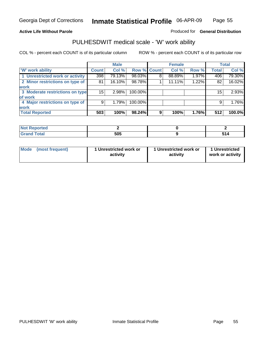## **Active Life Without Parole**

## Produced for **General Distribution**

# PULHESDWIT medical scale - 'W' work ability

|                                 |              | <b>Male</b> |             |   | <b>Female</b> |       |              | <b>Total</b> |
|---------------------------------|--------------|-------------|-------------|---|---------------|-------|--------------|--------------|
| <b>W' work ability</b>          | <b>Count</b> | Col %       | Row % Count |   | Col %         | Row % | <b>Total</b> | Col %        |
| 1 Unrestricted work or activity | 398          | 79.13%      | 98.03%      | 8 | 88.89%        | 1.97% | 406          | 79.30%       |
| 2 Minor restrictions on type of | 81           | 16.10%      | 98.78%      |   | 11.11%        | 1.22% | 82           | 16.02%       |
| <b>work</b>                     |              |             |             |   |               |       |              |              |
| 3 Moderate restrictions on type | 15           | 2.98%       | 100.00%     |   |               |       | 15           | 2.93%        |
| of work                         |              |             |             |   |               |       |              |              |
| 4 Major restrictions on type of | 9            | 1.79%       | 100.00%     |   |               |       | 9            | 1.76%        |
| <b>work</b>                     |              |             |             |   |               |       |              |              |
| <b>Total Reported</b>           | 503          | 100%        | 98.24%      | 9 | 100%          | 1.76% | 512          | 100.0%       |

| orted             |     |          |
|-------------------|-----|----------|
| <b>Total</b><br>r | 505 | . .<br>- |

| Mode | (most frequent) | 1 Unrestricted work or<br>activity | 1 Unrestricted work or<br>activity | 1 Unrestricted<br>work or activity |  |
|------|-----------------|------------------------------------|------------------------------------|------------------------------------|--|
|      |                 |                                    |                                    |                                    |  |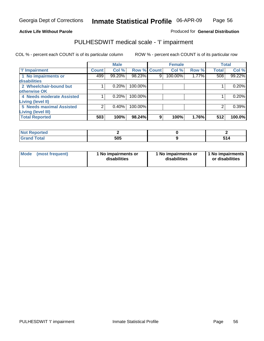## Page 56

## **Active Life Without Parole**

## Produced for **General Distribution**

## PULHESDWIT medical scale - 'I' impairment

|                           |                    | <b>Male</b> |                    |   | <b>Female</b> |       |              | <b>Total</b> |
|---------------------------|--------------------|-------------|--------------------|---|---------------|-------|--------------|--------------|
| <b>T' Impairment</b>      | Count <sup>1</sup> | Col %       | <b>Row % Count</b> |   | Col %         | Row % | <b>Total</b> | Col %        |
| 1 No impairments or       | 499                | 99.20%      | 98.23%             | 9 | 100.00%       | 1.77% | 508          | 99.22%       |
| <b>disabilities</b>       |                    |             |                    |   |               |       |              |              |
| 2 Wheelchair-bound but    |                    | 0.20%       | 100.00%            |   |               |       |              | 0.20%        |
| otherwise OK              |                    |             |                    |   |               |       |              |              |
| 4 Needs moderate Assisted |                    | 0.20%       | 100.00%            |   |               |       |              | 0.20%        |
| Living (level II)         |                    |             |                    |   |               |       |              |              |
| 5 Needs maximal Assisted  |                    | 0.40%       | 100.00%            |   |               |       |              | 0.39%        |
| <b>Living (level III)</b> |                    |             |                    |   |               |       |              |              |
| <b>Total Reported</b>     | 503                | 100%        | 98.24%             | 9 | 100%          | 1.76% | 512          | 100.0%       |

| <b>Not Reported</b> |     |  |
|---------------------|-----|--|
| <b>Total</b><br>Gra | 505 |  |

| Mode | (most frequent) | 1 No impairments or<br>disabilities | 1 No impairments or<br>disabilities | 1 No impairments  <br>or disabilities |
|------|-----------------|-------------------------------------|-------------------------------------|---------------------------------------|
|------|-----------------|-------------------------------------|-------------------------------------|---------------------------------------|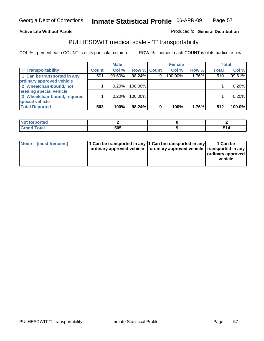### **Inmate Statistical Profile** 06-APR-09 Page Page 57

## **Active Life Without Parole Produced fo Seneral Distribution**

## PULHESDWIT medical scale - 'T' transportability

|                              |              | <b>Male</b> |                    |   | <b>Female</b> |       |              | <b>Total</b> |
|------------------------------|--------------|-------------|--------------------|---|---------------|-------|--------------|--------------|
| <b>T' Transportability</b>   | <b>Count</b> | Col %       | <b>Row % Count</b> |   | Col%          | Row % | <b>Total</b> | Col %        |
| 1 Can be transported in any  | 501          | 99.60%      | 98.24%             | 9 | 100.00%       | 1.76% | 510          | 99.61%       |
| ordinary approved vehicle    |              |             |                    |   |               |       |              |              |
| 2 Wheelchair-bound, not      |              | 0.20%       | 100.00%            |   |               |       |              | 0.20%        |
| needing special vehicle      |              |             |                    |   |               |       |              |              |
| 3 Wheelchair-bound, requires |              | 0.20%       | 100.00%            |   |               |       |              | 0.20%        |
| special vehicle              |              |             |                    |   |               |       |              |              |
| <b>Total Reported</b>        | 503          | 100%        | 98.24%             | 9 | 100%          | 1.76% | 512          | 100.0%       |

| Reported<br><b>NOT</b>               |     |                                     |
|--------------------------------------|-----|-------------------------------------|
| <b>Total</b><br>$\sim$ $\sim$ $\sim$ | 505 | the contract of the contract of the |

| Mode (most frequent) | 1 Can be transported in any 1 Can be transported in any | ordinary approved vehicle   ordinary approved vehicle   transported in any | 1 Can be<br>  ordinary approved  <br>vehicle |
|----------------------|---------------------------------------------------------|----------------------------------------------------------------------------|----------------------------------------------|
|----------------------|---------------------------------------------------------|----------------------------------------------------------------------------|----------------------------------------------|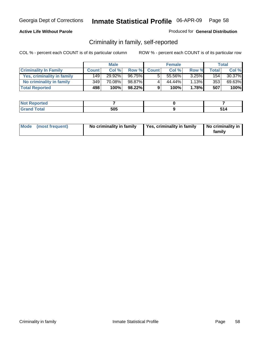## **Active Life Without Parole**

## Produced for **General Distribution**

## Criminality in family, self-reported

|                              | <b>Male</b>  |        | <b>Female</b> |              |        | Total |             |        |
|------------------------------|--------------|--------|---------------|--------------|--------|-------|-------------|--------|
| <b>Criminality In Family</b> | <b>Count</b> | Col %  | Row %         | <b>Count</b> | Col %  | Row % | $\tau$ otal | Col %  |
| Yes, criminality in family   | 149          | 29.92% | 96.75%        | 5            | 55.56% | 3.25% | 154         | 30.37% |
| No criminality in family     | 349          | 70.08% | 98.87%        | 4            | 44.44% | 1.13% | 353         | 69.63% |
| <b>Total Reported</b>        | 498          | 100%   | 98.22%        | 9            | 100%   | 1.78% | 507         | 100%   |

| oorted<br><b>NOT</b><br><b>IJCI</b> |     |  |
|-------------------------------------|-----|--|
| $\sim$<br>Grar<br>$\sim$            | 505 |  |

| Mode (most frequent) |  | No criminality in family | Yes, criminality in family | No criminality in<br>family |
|----------------------|--|--------------------------|----------------------------|-----------------------------|
|----------------------|--|--------------------------|----------------------------|-----------------------------|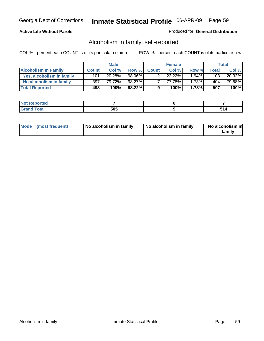## **Active Life Without Parole**

## Produced for **General Distribution**

## Alcoholism in family, self-reported

|                             | <b>Male</b>  |        | <b>Female</b> |              |        | Total    |       |        |
|-----------------------------|--------------|--------|---------------|--------------|--------|----------|-------|--------|
| <b>Alcoholism In Family</b> | <b>Count</b> | Col %  | Row %         | <b>Count</b> | Col %  | Row %    | Total | Col %  |
| Yes, alcoholism in family   | 101          | 20.28% | 98.06%        |              | 22.22% | $1.94\%$ | 103   | 20.32% |
| No alcoholism in family     | 397          | 79.72% | 98.27%        |              | 77.78% | 1.73%    | 404'  | 79.68% |
| <b>Total Reported</b>       | 498          | 100%   | 98.22%        | 9            | 100%   | 1.78%    | 507   | 100%   |

| oorted<br><b>NOT</b><br><b>IJCI</b> |            |  |
|-------------------------------------|------------|--|
| <b>c</b> otal<br>Gran<br>---        | EAE<br>טר־ |  |

|  | Mode (most frequent) | No alcoholism in family | No alcoholism in family | No alcoholism in<br>familv |
|--|----------------------|-------------------------|-------------------------|----------------------------|
|--|----------------------|-------------------------|-------------------------|----------------------------|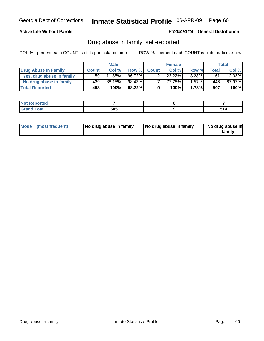## **Active Life Without Parole**

Produced for **General Distribution**

## Drug abuse in family, self-reported

|                           | <b>Male</b>     |        | <b>Female</b> |              |           | Total    |              |        |
|---------------------------|-----------------|--------|---------------|--------------|-----------|----------|--------------|--------|
| Drug Abuse In Family      | <b>Count</b>    | Col %  | Row %         | <b>Count</b> | Col %     | Row %    | <b>Total</b> | Col %  |
| Yes, drug abuse in family | 59 <sub>1</sub> | 11.85% | 96.72%        |              | $22.22\%$ | $3.28\%$ | 61           | 12.03% |
| No drug abuse in family   | 439             | 88.15% | 98.43%        | ⇁            | 77.78%    | $1.57\%$ | 446          | 87.97% |
| <b>Total Reported</b>     | 498             | 100%   | 98.22%        | 9            | 100%      | 1.78%    | 507          | 100%   |

| oorted<br><b>NO</b><br><b>IVGI</b> |     |  |
|------------------------------------|-----|--|
| $\sim$<br>Grar<br>---              | 505 |  |

|  | Mode (most frequent) | No drug abuse in family | No drug abuse in family | No drug abuse in<br>familv |
|--|----------------------|-------------------------|-------------------------|----------------------------|
|--|----------------------|-------------------------|-------------------------|----------------------------|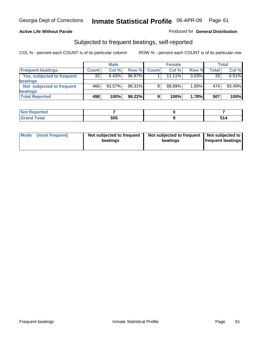## **Active Life Without Parole**

## Produced for **General Distribution**

## Subjected to frequent beatings, self-reported

|                            |              | <b>Male</b> |        |              | <b>Female</b> |          |              | Total  |
|----------------------------|--------------|-------------|--------|--------------|---------------|----------|--------------|--------|
| <b>Frequent beatings</b>   | <b>Count</b> | Col%        | Row %  | <b>Count</b> | Col%          | Row %    | <b>Total</b> | Col %  |
| Yes, subjected to frequent | 32           | 6.43%       | 96.97% |              | 11.11%        | $3.03\%$ | 33           | 6.51%  |
| <b>beatings</b>            |              |             |        |              |               |          |              |        |
| Not subjected to frequent  | 466          | $93.57\%$   | 98.31% | 8            | 88.89%        | 1.69%    | 474          | 93.49% |
| beatings                   |              |             |        |              |               |          |              |        |
| <b>Total Reported</b>      | 498          | 100%        | 98.22% | 9            | 100%          | 1.78%    | 507          | 100%   |

| <b>Reported</b><br><b>NOT</b><br>. |     |  |
|------------------------------------|-----|--|
| Total                              | 505 |  |

| Mode (most frequent) | Not subjected to frequent<br>beatings | Not subjected to frequent<br>beatings | Not subjected to<br><b>frequent beatings</b> |  |
|----------------------|---------------------------------------|---------------------------------------|----------------------------------------------|--|
|                      |                                       |                                       |                                              |  |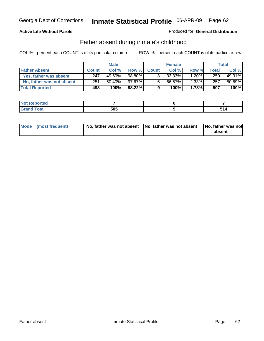## **Active Life Without Parole**

## Produced for **General Distribution**

## Father absent during inmate's childhood

|                           | <b>Male</b>  |           |        |              | <b>Female</b> | Total    |       |        |
|---------------------------|--------------|-----------|--------|--------------|---------------|----------|-------|--------|
| <b>Father Absent</b>      | <b>Count</b> | Col %     | Row %  | <b>Count</b> | Col %         | Row %    | Total | Col %  |
| Yes, father was absent    | 247          | 49.60%    | 98.80% | 3.           | 33.33%        | $1.20\%$ | 250   | 49.31% |
| No, father was not absent | 251          | $50.40\%$ | 97.67% | 6            | 66.67%        | $2.33\%$ | 257   | 50.69% |
| <b>Total Reported</b>     | 498          | 100%      | 98.22% | 9            | 100%          | 1.78%    | 507   | 100%   |

| <b>Not Reported</b>       |     |  |
|---------------------------|-----|--|
| <b>Fotal</b><br>$'$ Grani | 505 |  |

| Mode (most frequent) |  | 「No, father was not absent ┃No, father was not absent ┃No, father was not | absent |
|----------------------|--|---------------------------------------------------------------------------|--------|
|----------------------|--|---------------------------------------------------------------------------|--------|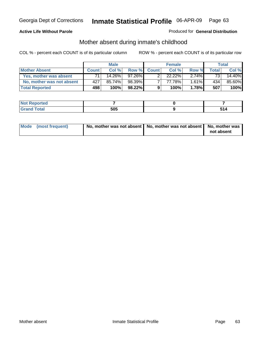## **Active Life Without Parole**

## Produced for **General Distribution**

# Mother absent during inmate's childhood

|                           | <b>Male</b>  |        |           |              | <b>Female</b> | Total    |                 |        |
|---------------------------|--------------|--------|-----------|--------------|---------------|----------|-----------------|--------|
| <b>Mother Absent</b>      | <b>Count</b> | Col%   | Row %     | <b>Count</b> | Col %         | Row %    | Total           | Col %  |
| Yes, mother was absent    | 71           | 14.26% | $97.26\%$ | ົ            | $22.22\%$     | $2.74\%$ | 73 <sub>1</sub> | 14.40% |
| No, mother was not absent | 427          | 85.74% | 98.39%    |              | 77.78%        | $1.61\%$ | 434             | 85.60% |
| <b>Total Reported</b>     | 498          | 100%   | 98.22%    | 9            | 100%          | 1.78%    | 507             | 100%   |

| <b>Not Reported</b>       |     |  |
|---------------------------|-----|--|
| <b>Fotal</b><br>$'$ Grani | 505 |  |

| Mode (most frequent) | No, mother was not absent   No, mother was not absent   No, mother was | not absent |
|----------------------|------------------------------------------------------------------------|------------|
|----------------------|------------------------------------------------------------------------|------------|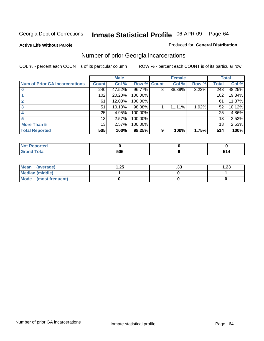**Active Life Without Parole** 

### Produced for **General Distribution**

# Number of prior Georgia incarcerations

|                                       | <b>Male</b>     |        |                    |   | <b>Female</b> | <b>Total</b> |       |        |
|---------------------------------------|-----------------|--------|--------------------|---|---------------|--------------|-------|--------|
| <b>Num of Prior GA Incarcerations</b> | <b>Count</b>    | Col %  | <b>Row % Count</b> |   | Col %         | Row %        | Total | Col %  |
|                                       | 240             | 47.52% | 96.77%             | 8 | 88.89%        | 3.23%        | 248   | 48.25% |
|                                       | 102             | 20.20% | 100.00%            |   |               |              | 102   | 19.84% |
|                                       | 61              | 12.08% | 100.00%            |   |               |              | 61    | 11.87% |
|                                       | 51              | 10.10% | 98.08%             |   | 11.11%        | 1.92%        | 52    | 10.12% |
|                                       | 25              | 4.95%  | 100.00%            |   |               |              | 25    | 4.86%  |
|                                       | 13              | 2.57%  | 100.00%            |   |               |              | 13    | 2.53%  |
| <b>More Than 5</b>                    | 13 <sub>1</sub> | 2.57%  | 100.00%            |   |               |              | 13    | 2.53%  |
| <b>Total Reported</b>                 | 505             | 100%   | 98.25%             | 9 | 100%          | 1.75%        | 514   | 100%   |

| .<br>тео<br>N |                       |       |
|---------------|-----------------------|-------|
|               | - ^ -<br>วบว<br>- - - | $  -$ |

| Mean (average)       | .25 | . JJ | 1.23 |
|----------------------|-----|------|------|
| Median (middle)      |     |      |      |
| Mode (most frequent) |     |      |      |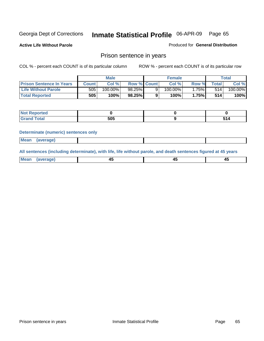**Active Life Without Parole** 

Produced for **General Distribution**

## Prison sentence in years

COL % - percent each COUNT is of its particular column ROW % - percent each COUNT is of its particular row

|                                 | <b>Male</b> |         |                    | <b>Female</b> |            |       | Total       |         |
|---------------------------------|-------------|---------|--------------------|---------------|------------|-------|-------------|---------|
| <b>Prison Sentence In Years</b> | Count l     | Col%    | <b>Row % Count</b> |               | Col%       | Row % | $\tau$ otal | Col %   |
| Life Without Parole             | 505         | 100.00% | 98.25%             |               | $100.00\%$ | 75%∎  | 514         | 100.00% |
| <b>Total Reported</b>           | 505         | 100%    | 98.25%             |               | 100%       | 1.75% | 514         | 100%    |

| <b>ortea</b>                     |     |  |  |
|----------------------------------|-----|--|--|
| <b>Total</b><br>$\mathbf{v}$ and | 505 |  |  |

### **Determinate (numeric) sentences only**

| <b>Mean</b> | <i>(average)</i> |  |  |
|-------------|------------------|--|--|

**All sentences (including determinate), with life, life without parole, and death sentences figured at 45 years**

| Me:<br>anei<br>.<br>᠇<br>$\sim$ | -- | т.<br>$\sim$ |
|---------------------------------|----|--------------|
|---------------------------------|----|--------------|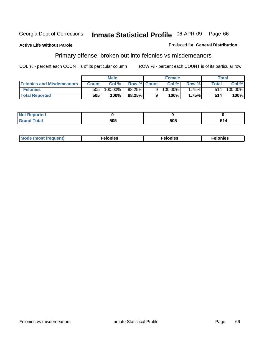## **Active Life Without Parole**

### Produced for **General Distribution**

# Primary offense, broken out into felonies vs misdemeanors

|                                  | <b>Male</b>  |         |                    | <b>Female</b> |            |       | Total        |                       |
|----------------------------------|--------------|---------|--------------------|---------------|------------|-------|--------------|-----------------------|
| <b>Felonies and Misdemeanors</b> | <b>Count</b> | Col%    | <b>Row % Count</b> |               | Col%       | Row % | <b>Total</b> | Col %                 |
| <b>Felonies</b>                  | 505          | 100.00% | 98.25%             | 9             | $100.00\%$ | 1.75% | 514          | $100.\overline{00\%}$ |
| <b>Total Reported</b>            | 505          | 100%    | 98.25%             |               | 100%       | 1.75% | 514          | 100%                  |

| <b>Not</b><br><b>orted</b><br>$\sim$                        |            |     |               |
|-------------------------------------------------------------|------------|-----|---------------|
| $\mathcal{L}$ at all<br>Grar<br>$\mathbf{v}$ . $\mathbf{u}$ | EAE<br>JUJ | 505 | E 4 A<br>14 כ |

| M<br>$\cdots$<br>пю.<br>. | nies<br>. | . |
|---------------------------|-----------|---|
|---------------------------|-----------|---|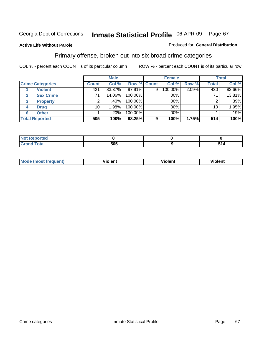## **Active Life Without Parole**

### Produced for **General Distribution**

## Primary offense, broken out into six broad crime categories

|                                 |              | <b>Male</b> |                    |   | <b>Female</b> |       |              | <b>Total</b> |
|---------------------------------|--------------|-------------|--------------------|---|---------------|-------|--------------|--------------|
| <b>Crime Categories</b>         | <b>Count</b> | Col %       | <b>Row % Count</b> |   | Col %         | Row % | <b>Total</b> | Col %        |
| <b>Violent</b>                  | 421          | 83.37%      | 97.91%             | 9 | 100.00%       | 2.09% | 430          | 83.66%       |
| <b>Sex Crime</b>                | 71           | 14.06%      | 100.00%            |   | .00%          |       | 71           | 13.81%       |
| $\mathbf{3}$<br><b>Property</b> | 2            | .40%        | 100.00%            |   | .00%          |       |              | .39%         |
| <b>Drug</b><br>4                | 10           | $1.98\%$    | 100.00%            |   | .00%          |       | 10           | 1.95%        |
| <b>Other</b><br>6               |              | .20%        | 100.00%            |   | .00%          |       |              | .19%         |
| <b>Total Reported</b>           | 505          | 100%        | 98.25%             | 9 | 100%          | 1.75% | 514          | 100%         |

| Reported<br>'N 6<br>.   |     |     |  |  |
|-------------------------|-----|-----|--|--|
| <b>Total</b><br><b></b> | 505 | 514 |  |  |

| Mc | - - | 'חםור |  |
|----|-----|-------|--|
|    |     |       |  |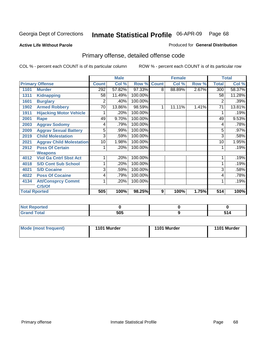### **Active Life Without Parole**

### Produced for **General Distribution**

# Primary offense, detailed offense code

|      |                                 |              | <b>Male</b> |         |              | <b>Female</b> |       |              | <b>Total</b> |
|------|---------------------------------|--------------|-------------|---------|--------------|---------------|-------|--------------|--------------|
|      | <b>Primary Offense</b>          | <b>Count</b> | Col %       | Row %   | <b>Count</b> | Col %         | Row % | <b>Total</b> | Col %        |
| 1101 | <b>Murder</b>                   | 292          | 57.82%      | 97.33%  | 8            | 88.89%        | 2.67% | 300          | 58.37%       |
| 1311 | <b>Kidnapping</b>               | 58           | 11.49%      | 100.00% |              |               |       | 58           | 11.28%       |
| 1601 | <b>Burglary</b>                 | 2            | .40%        | 100.00% |              |               |       | 2            | .39%         |
| 1902 | <b>Armed Robbery</b>            | 70           | 13.86%      | 98.59%  | 1            | 11.11%        | 1.41% | 71           | 13.81%       |
| 1911 | <b>Hijacking Motor Vehicle</b>  |              | .20%        | 100.00% |              |               |       |              | .19%         |
| 2001 | Rape                            | 49           | 9.70%       | 100.00% |              |               |       | 49           | 9.53%        |
| 2003 | <b>Aggrav Sodomy</b>            | 4            | .79%        | 100.00% |              |               |       | 4            | .78%         |
| 2009 | <b>Aggrav Sexual Battery</b>    | 5            | .99%        | 100.00% |              |               |       | 5            | .97%         |
| 2019 | <b>Child Molestation</b>        | 3            | .59%        | 100.00% |              |               |       | 3            | .58%         |
| 2021 | <b>Aggrav Child Molestation</b> | 10           | 1.98%       | 100.00% |              |               |       | 10           | 1.95%        |
| 2912 | <b>Poss Of Certain</b>          |              | .20%        | 100.00% |              |               |       |              | .19%         |
|      | <b>Weapons</b>                  |              |             |         |              |               |       |              |              |
| 4012 | <b>Viol Ga Cntrl Sbst Act</b>   |              | .20%        | 100.00% |              |               |       |              | .19%         |
| 4018 | <b>S/D Cont Sub School</b>      |              | .20%        | 100.00% |              |               |       |              | .19%         |
| 4021 | <b>S/D Cocaine</b>              | 3            | .59%        | 100.00% |              |               |       | 3            | .58%         |
| 4022 | <b>Poss Of Cocaine</b>          | 4            | .79%        | 100.00% |              |               |       | 4            | .78%         |
| 4134 | <b>Att/Consprcy Commt</b>       | 1            | .20%        | 100.00% |              |               |       | 1            | .19%         |
|      | C/S/Of                          |              |             |         |              |               |       |              |              |
|      | <b>Total Rported</b>            | 505          | 100%        | 98.25%  | 9            | 100%          | 1.75% | 514          | 100%         |

| Reported                 |     |  |
|--------------------------|-----|--|
| <b>Total</b><br>$\sim$ . | 505 |  |

| Mode (most frequent) | 1101 Murder | 1101 Murder | 1101 Murder |
|----------------------|-------------|-------------|-------------|
|----------------------|-------------|-------------|-------------|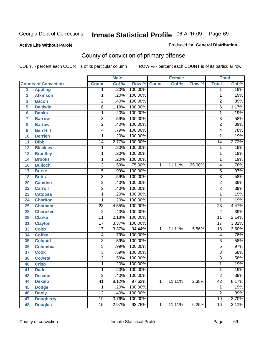### **Active Life Without Parole**

## Produced for **General Distribution**

# County of conviction of primary offense

|                |                             |                 | <b>Male</b> |         |              | <b>Female</b> |        |                 | <b>Total</b> |
|----------------|-----------------------------|-----------------|-------------|---------|--------------|---------------|--------|-----------------|--------------|
|                | <b>County of Conviction</b> | <b>Count</b>    | Col %       | Row %   | <b>Count</b> | Col %         | Row %  | <b>Total</b>    | Col %        |
| 1              | <b>Appling</b>              | 1               | .20%        | 100.00% |              |               |        | 1               | .19%         |
| $\overline{2}$ | <b>Atkinson</b>             | 1               | .20%        | 100.00% |              |               |        | 1               | .19%         |
| 3              | <b>Bacon</b>                | $\overline{2}$  | .40%        | 100.00% |              |               |        | $\overline{2}$  | .39%         |
| 5              | <b>Baldwin</b>              | $\overline{6}$  | 1.19%       | 100.00% |              |               |        | $\overline{6}$  | 1.17%        |
| 6              | <b>Banks</b>                | 1               | .20%        | 100.00% |              |               |        | 1               | .19%         |
| $\overline{7}$ | <b>Barrow</b>               | 3               | .59%        | 100.00% |              |               |        | $\overline{3}$  | .58%         |
| 8              | <b>Bartow</b>               | $\overline{2}$  | .40%        | 100.00% |              |               |        | $\overline{2}$  | .39%         |
| 9              | <b>Ben Hill</b>             | 4               | .79%        | 100.00% |              |               |        | 4               | .78%         |
| 10             | <b>Berrien</b>              | 1               | .20%        | 100.00% |              |               |        | 1               | .19%         |
| 11             | <b>Bibb</b>                 | $\overline{14}$ | 2.77%       | 100.00% |              |               |        | $\overline{14}$ | 2.72%        |
| 12             | <b>Bleckley</b>             | 1               | .20%        | 100.00% |              |               |        | 1               | .19%         |
| 13             | <b>Brantley</b>             | 1               | .20%        | 100.00% |              |               |        | 1               | .19%         |
| 14             | <b>Brooks</b>               | 1               | .20%        | 100.00% |              |               |        | 1               | .19%         |
| 16             | <b>Bulloch</b>              | 3               | .59%        | 75.00%  | $\mathbf{1}$ | 11.11%        | 25.00% | 4               | .78%         |
| 17             | <b>Burke</b>                | $\overline{5}$  | .99%        | 100.00% |              |               |        | $\overline{5}$  | .97%         |
| 18             | <b>Butts</b>                | $\overline{3}$  | .59%        | 100.00% |              |               |        | $\overline{3}$  | .58%         |
| 20             | <b>Camden</b>               | $\overline{2}$  | .40%        | 100.00% |              |               |        | $\overline{2}$  | .39%         |
| 22             | <b>Carroll</b>              | $\overline{2}$  | .40%        | 100.00% |              |               |        | $\overline{2}$  | .39%         |
| 23             | <b>Catoosa</b>              | 1               | .20%        | 100.00% |              |               |        | 1               | .19%         |
| 24             | <b>Charlton</b>             | 1               | .20%        | 100.00% |              |               |        | 1               | .19%         |
| 25             | <b>Chatham</b>              | $\overline{23}$ | 4.55%       | 100.00% |              |               |        | $\overline{23}$ | 4.47%        |
| 28             | <b>Cherokee</b>             | $\overline{2}$  | .40%        | 100.00% |              |               |        | $\overline{2}$  | .39%         |
| 29             | <b>Clarke</b>               | $\overline{11}$ | 2.18%       | 100.00% |              |               |        | $\overline{11}$ | 2.14%        |
| 31             | <b>Clayton</b>              | 17              | 3.37%       | 100.00% |              |               |        | $\overline{17}$ | 3.31%        |
| 33             | <b>Cobb</b>                 | $\overline{17}$ | 3.37%       | 94.44%  | 1            | 11.11%        | 5.56%  | 18              | 3.50%        |
| 34             | <b>Coffee</b>               | 4               | .79%        | 100.00% |              |               |        | 4               | .78%         |
| 35             | <b>Colquitt</b>             | $\overline{3}$  | .59%        | 100.00% |              |               |        | $\overline{3}$  | .58%         |
| 36             | <b>Columbia</b>             | $\overline{5}$  | .99%        | 100.00% |              |               |        | $\overline{5}$  | .97%         |
| 37             | <b>Cook</b>                 | $\overline{3}$  | .59%        | 100.00% |              |               |        | $\overline{3}$  | .58%         |
| 38             | <b>Coweta</b>               | $\overline{3}$  | .59%        | 100.00% |              |               |        | $\overline{3}$  | .58%         |
| 40             | <b>Crisp</b>                | 1               | .20%        | 100.00% |              |               |        | 1               | .19%         |
| 41             | <b>Dade</b>                 | 1               | .20%        | 100.00% |              |               |        | 1               | .19%         |
| 43             | <b>Decatur</b>              | $\overline{2}$  | .40%        | 100.00% |              |               |        | $\overline{2}$  | .39%         |
| 44             | <b>Dekalb</b>               | 41              | 8.12%       | 97.62%  | $\mathbf{1}$ | 11.11%        | 2.38%  | $\overline{42}$ | 8.17%        |
| 45             | <b>Dodge</b>                | 1               | .20%        | 100.00% |              |               |        | 1               | .19%         |
| 46             | <b>Dooly</b>                | $\overline{2}$  | .40%        | 100.00% |              |               |        | $\overline{2}$  | .39%         |
| 47             | <b>Dougherty</b>            | $\overline{19}$ | 3.76%       | 100.00% |              |               |        | $\overline{19}$ | 3.70%        |
| 48             | <b>Douglas</b>              | $\overline{15}$ | 2.97%       | 93.75%  | $\mathbf 1$  | 11.11%        | 6.25%  | 16              | 3.11%        |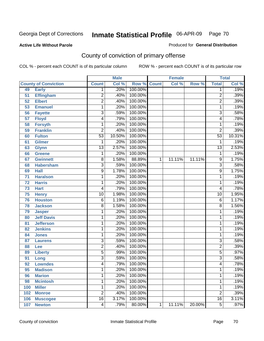## **Active Life Without Parole**

## Produced for **General Distribution**

# County of conviction of primary offense

|                 |                             |                 | <b>Male</b> |                    |   | <b>Female</b> |        |                 | <b>Total</b> |
|-----------------|-----------------------------|-----------------|-------------|--------------------|---|---------------|--------|-----------------|--------------|
|                 | <b>County of Conviction</b> | <b>Count</b>    | Col %       | <b>Row % Count</b> |   | Col %         | Row %  | <b>Total</b>    | Col %        |
| 49              | <b>Early</b>                | 1               | .20%        | 100.00%            |   |               |        | 1               | .19%         |
| 51              | <b>Effingham</b>            | 2               | .40%        | 100.00%            |   |               |        | $\overline{2}$  | .39%         |
| 52              | <b>Elbert</b>               | $\overline{2}$  | .40%        | 100.00%            |   |               |        | $\overline{2}$  | .39%         |
| 53              | <b>Emanuel</b>              | 1               | .20%        | 100.00%            |   |               |        | 1               | .19%         |
| 56              | <b>Fayette</b>              | 3               | .59%        | 100.00%            |   |               |        | $\overline{3}$  | .58%         |
| $\overline{57}$ | <b>Floyd</b>                | 4               | .79%        | 100.00%            |   |               |        | 4               | .78%         |
| 58              | <b>Forsyth</b>              | 1               | .20%        | 100.00%            |   |               |        | 1               | .19%         |
| 59              | <b>Franklin</b>             | $\overline{2}$  | .40%        | 100.00%            |   |               |        | $\overline{2}$  | .39%         |
| 60              | <b>Fulton</b>               | $\overline{53}$ | 10.50%      | 100.00%            |   |               |        | $\overline{53}$ | 10.31%       |
| 61              | Gilmer                      | 1               | .20%        | 100.00%            |   |               |        | 1               | .19%         |
| 63              | <b>Glynn</b>                | $\overline{13}$ | 2.57%       | 100.00%            |   |               |        | $\overline{13}$ | 2.53%        |
| 66              | <b>Greene</b>               | 1               | .20%        | 100.00%            |   |               |        | 1               | .19%         |
| 67              | <b>Gwinnett</b>             | 8               | 1.58%       | 88.89%             | 1 | 11.11%        | 11.11% | 9               | 1.75%        |
| 68              | <b>Habersham</b>            | 3               | .59%        | 100.00%            |   |               |        | $\overline{3}$  | .58%         |
| 69              | <b>Hall</b>                 | 9               | 1.78%       | 100.00%            |   |               |        | 9               | 1.75%        |
| 71              | <b>Haralson</b>             | 1               | .20%        | 100.00%            |   |               |        | 1               | .19%         |
| $\overline{72}$ | <b>Harris</b>               | 1               | .20%        | 100.00%            |   |               |        | 1               | .19%         |
| 73              | <b>Hart</b>                 | 4               | .79%        | 100.00%            |   |               |        | 4               | .78%         |
| 75              | <b>Henry</b>                | $\overline{10}$ | 1.98%       | 100.00%            |   |               |        | 10              | 1.95%        |
| 76              | <b>Houston</b>              | 6               | 1.19%       | 100.00%            |   |               |        | 6               | 1.17%        |
| 78              | <b>Jackson</b>              | 8               | 1.58%       | 100.00%            |   |               |        | 8               | 1.56%        |
| 79              | <b>Jasper</b>               | 1               | .20%        | 100.00%            |   |               |        | 1               | .19%         |
| 80              | <b>Jeff Davis</b>           | 1               | .20%        | 100.00%            |   |               |        | 1               | .19%         |
| 81              | <b>Jefferson</b>            | 1               | .20%        | 100.00%            |   |               |        | 1               | .19%         |
| 82              | <b>Jenkins</b>              | 1               | .20%        | 100.00%            |   |               |        | 1               | .19%         |
| 84              | <b>Jones</b>                | 1               | .20%        | 100.00%            |   |               |        | 1               | .19%         |
| 87              | <b>Laurens</b>              | 3               | .59%        | 100.00%            |   |               |        | 3               | .58%         |
| 88              | Lee                         | $\overline{2}$  | .40%        | 100.00%            |   |               |        | $\overline{2}$  | .39%         |
| 89              | <b>Liberty</b>              | 5               | .99%        | 100.00%            |   |               |        | $\overline{5}$  | .97%         |
| 91              | Long                        | $\overline{3}$  | .59%        | 100.00%            |   |               |        | $\overline{3}$  | .58%         |
| 92              | <b>Lowndes</b>              | 4               | .79%        | 100.00%            |   |               |        | 4               | .78%         |
| 95              | <b>Madison</b>              | 1               | .20%        | 100.00%            |   |               |        | 1               | .19%         |
| 96              | <b>Marion</b>               | 1               | .20%        | 100.00%            |   |               |        | 1               | .19%         |
| 98              | <b>Mcintosh</b>             | 1               | .20%        | 100.00%            |   |               |        | 1               | .19%         |
| 100             | <b>Miller</b>               | 1               | .20%        | 100.00%            |   |               |        | 1               | .19%         |
| 102             | <b>Monroe</b>               | $\overline{2}$  | .40%        | 100.00%            |   |               |        | $\overline{2}$  | .39%         |
| 106             | <b>Muscogee</b>             | $\overline{16}$ | 3.17%       | 100.00%            |   |               |        | 16              | 3.11%        |
| 107             | <b>Newton</b>               | $\overline{4}$  | .79%        | 80.00%             | 1 | 11.11%        | 20.00% | $\overline{5}$  | .97%         |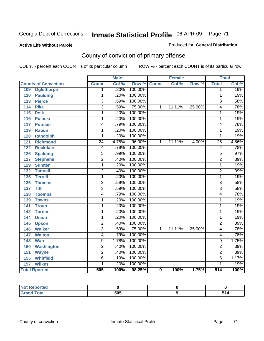## **Active Life Without Parole**

## Produced for **General Distribution**

# County of conviction of primary offense

|                                   |                         | <b>Male</b> |         |              | <b>Female</b> |        |                  | <b>Total</b> |
|-----------------------------------|-------------------------|-------------|---------|--------------|---------------|--------|------------------|--------------|
| <b>County of Conviction</b>       | <b>Count</b>            | Col %       | Row %   | <b>Count</b> | Col %         | Row %  | <b>Total</b>     | Col %        |
| <b>Oglethorpe</b><br>109          | 1                       | .20%        | 100.00% |              |               |        | 1                | .19%         |
| 110<br><b>Paulding</b>            | 1                       | .20%        | 100.00% |              |               |        | 1                | .19%         |
| <b>Pierce</b><br>113              | 3                       | .59%        | 100.00% |              |               |        | 3                | .58%         |
| <b>Pike</b><br>114                | $\overline{\mathbf{3}}$ | .59%        | 75.00%  | 1            | 11.11%        | 25.00% | 4                | .78%         |
| $\overline{115}$<br><b>Polk</b>   | 1                       | .20%        | 100.00% |              |               |        | 1                | .19%         |
| 116<br><b>Pulaski</b>             | 1                       | .20%        | 100.00% |              |               |        | 1                | .19%         |
| 117<br><b>Putnam</b>              | 4                       | .79%        | 100.00% |              |               |        | 4                | .78%         |
| 119<br><b>Rabun</b>               | 1                       | .20%        | 100.00% |              |               |        | 1                | .19%         |
| 120<br><b>Randolph</b>            | 1                       | .20%        | 100.00% |              |               |        | 1                | .19%         |
| <b>Richmond</b><br>121            | $\overline{24}$         | 4.75%       | 96.00%  | 1            | 11.11%        | 4.00%  | $\overline{25}$  | 4.86%        |
| <b>Rockdale</b><br>122            | 4                       | .79%        | 100.00% |              |               |        | 4                | .78%         |
| <b>Spalding</b><br>126            | $\overline{5}$          | .99%        | 100.00% |              |               |        | $\overline{5}$   | .97%         |
| <b>Stephens</b><br>127            | $\overline{2}$          | .40%        | 100.00% |              |               |        | $\overline{2}$   | .39%         |
| <b>Sumter</b><br>129              | 1                       | .20%        | 100.00% |              |               |        | 1                | .19%         |
| <b>Tattnall</b><br>132            | $\overline{2}$          | .40%        | 100.00% |              |               |        | $\overline{2}$   | .39%         |
| <b>Terrell</b><br>135             | 1                       | .20%        | 100.00% |              |               |        | 1                | .19%         |
| 136<br><b>Thomas</b>              | $\overline{3}$          | .59%        | 100.00% |              |               |        | $\overline{3}$   | .58%         |
| <b>Tift</b><br>137                | $\overline{3}$          | .59%        | 100.00% |              |               |        | $\overline{3}$   | .58%         |
| <b>Toombs</b><br>138              | $\overline{4}$          | .79%        | 100.00% |              |               |        | 4                | .78%         |
| 139<br><b>Towns</b>               | 1                       | .20%        | 100.00% |              |               |        | 1                | .19%         |
| 141<br><b>Troup</b>               | 1                       | .20%        | 100.00% |              |               |        | 1                | .19%         |
| 142<br><b>Turner</b>              | 1                       | .20%        | 100.00% |              |               |        | 1                | .19%         |
| <b>Union</b><br>144               | 1                       | .20%        | 100.00% |              |               |        | 1                | .19%         |
| 145<br><b>Upson</b>               | $\overline{2}$          | .40%        | 100.00% |              |               |        | $\overline{2}$   | .39%         |
| <b>Walker</b><br>146              | $\overline{3}$          | .59%        | 75.00%  | 1            | 11.11%        | 25.00% | 4                | .78%         |
| $\overline{147}$<br><b>Walton</b> | 4                       | .79%        | 100.00% |              |               |        | 4                | .78%         |
| 148<br><b>Ware</b>                | $\overline{9}$          | 1.78%       | 100.00% |              |               |        | 9                | 1.75%        |
| 150<br><b>Washington</b>          | $\overline{2}$          | .40%        | 100.00% |              |               |        | $\overline{2}$   | .39%         |
| 151<br><b>Wayne</b>               | $\overline{2}$          | .40%        | 100.00% |              |               |        | $\overline{2}$   | .39%         |
| <b>Whitfield</b><br>155           | 6                       | 1.19%       | 100.00% |              |               |        | 6                | 1.17%        |
| 157<br><b>Wilkes</b>              | 1                       | .20%        | 100.00% |              |               |        | 1                | .19%         |
| <b>Total Rported</b>              | 505                     | 100%        | 98.25%  | 9            | 100%          | 1.75%  | $\overline{514}$ | 100%         |

| <b>prted</b><br>NOT |     |          |
|---------------------|-----|----------|
| <b>Grand Total</b>  | 505 | CA.<br>. |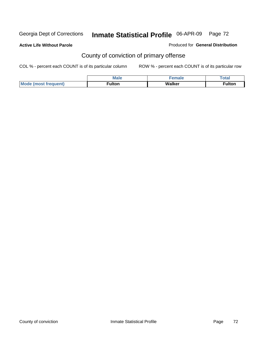**Active Life Without Parole** 

Produced for **General Distribution**

# County of conviction of primary offense

|                      | <b>Male</b>        | emale  | Total  |
|----------------------|--------------------|--------|--------|
| Mode (most frequent) | <sup>≂</sup> ulton | Walker | ≂ulton |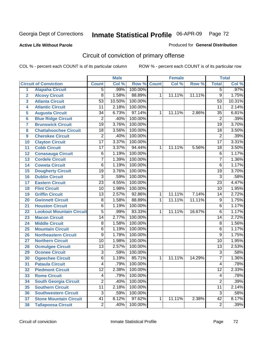**Active Life Without Parole** 

Produced for **General Distribution**

# Circuit of conviction of primary offense

|                 |                                 |                 | <b>Male</b> |             |              | <b>Female</b> |        |                 | <b>Total</b> |
|-----------------|---------------------------------|-----------------|-------------|-------------|--------------|---------------|--------|-----------------|--------------|
|                 | <b>Circuit of Conviction</b>    | <b>Count</b>    | Col %       | Row % Count |              | Col %         | Row %  | <b>Total</b>    | Col %        |
| $\overline{1}$  | <b>Alapaha Circuit</b>          | $\overline{5}$  | .99%        | 100.00%     |              |               |        | 5               | .97%         |
| $\overline{2}$  | <b>Alcovy Circuit</b>           | $\overline{8}$  | 1.58%       | 88.89%      | 1            | 11.11%        | 11.11% | $\overline{9}$  | 1.75%        |
| 3               | <b>Atlanta Circuit</b>          | $\overline{53}$ | 10.50%      | 100.00%     |              |               |        | $\overline{53}$ | 10.31%       |
| 4               | <b>Atlantic Circuit</b>         | 11              | 2.18%       | 100.00%     |              |               |        | 11              | 2.14%        |
| 5               | <b>Augusta Circuit</b>          | $\overline{34}$ | 6.73%       | 97.14%      | 1            | 11.11%        | 2.86%  | $\overline{35}$ | 6.81%        |
| $6\phantom{a}$  | <b>Blue Ridge Circuit</b>       | $\overline{2}$  | .40%        | 100.00%     |              |               |        | $\overline{2}$  | .39%         |
| $\overline{7}$  | <b>Brunswick Circuit</b>        | $\overline{19}$ | 3.76%       | 100.00%     |              |               |        | $\overline{19}$ | 3.70%        |
| 8               | <b>Chattahoochee Circuit</b>    | 18              | 3.56%       | 100.00%     |              |               |        | 18              | 3.50%        |
| 9               | <b>Cherokee Circuit</b>         | $\overline{2}$  | .40%        | 100.00%     |              |               |        | $\overline{2}$  | .39%         |
| 10              | <b>Clayton Circuit</b>          | $\overline{17}$ | 3.37%       | 100.00%     |              |               |        | $\overline{17}$ | 3.31%        |
| 11              | <b>Cobb Circuit</b>             | $\overline{17}$ | 3.37%       | 94.44%      | 1            | 11.11%        | 5.56%  | $\overline{18}$ | 3.50%        |
| 12              | <b>Conasauga Circuit</b>        | 6               | 1.19%       | 100.00%     |              |               |        | $\,6$           | 1.17%        |
| $\overline{13}$ | <b>Cordele Circuit</b>          | $\overline{7}$  | 1.39%       | 100.00%     |              |               |        | $\overline{7}$  | 1.36%        |
| 14              | <b>Coweta Circuit</b>           | $\overline{6}$  | 1.19%       | 100.00%     |              |               |        | $\overline{6}$  | 1.17%        |
| 15              | <b>Dougherty Circuit</b>        | $\overline{19}$ | 3.76%       | 100.00%     |              |               |        | $\overline{19}$ | 3.70%        |
| 16              | <b>Dublin Circuit</b>           | $\overline{3}$  | .59%        | 100.00%     |              |               |        | $\overline{3}$  | .58%         |
| 17              | <b>Eastern Circuit</b>          | $\overline{23}$ | 4.55%       | 100.00%     |              |               |        | $\overline{23}$ | 4.47%        |
| 18              | <b>Flint Circuit</b>            | $\overline{10}$ | 1.98%       | 100.00%     |              |               |        | 10              | 1.95%        |
| 19              | <b>Griffin Circuit</b>          | $\overline{13}$ | 2.57%       | 92.86%      | $\mathbf{1}$ | 11.11%        | 7.14%  | $\overline{14}$ | 2.72%        |
| 20              | <b>Gwinnett Circuit</b>         | 8               | 1.58%       | 88.89%      | 1            | 11.11%        | 11.11% | 9               | 1.75%        |
| 21              | <b>Houston Circuit</b>          | 6               | 1.19%       | 100.00%     |              |               |        | 6               | 1.17%        |
| 22              | <b>Lookout Mountain Circuit</b> | $\overline{5}$  | .99%        | 83.33%      | 1            | 11.11%        | 16.67% | 6               | 1.17%        |
| 23              | <b>Macon Circuit</b>            | $\overline{14}$ | 2.77%       | 100.00%     |              |               |        | $\overline{14}$ | 2.72%        |
| 24              | <b>Middle Circuit</b>           | 8               | 1.58%       | 100.00%     |              |               |        | 8               | 1.56%        |
| 25              | <b>Mountain Circuit</b>         | 6               | 1.19%       | 100.00%     |              |               |        | 6               | 1.17%        |
| 26              | <b>Northeastern Circuit</b>     | $\overline{9}$  | 1.78%       | 100.00%     |              |               |        | 9               | 1.75%        |
| 27              | <b>Northern Circuit</b>         | $\overline{10}$ | 1.98%       | 100.00%     |              |               |        | $\overline{10}$ | 1.95%        |
| 28              | <b>Ocmulgee Circuit</b>         | $\overline{13}$ | 2.57%       | 100.00%     |              |               |        | $\overline{13}$ | 2.53%        |
| 29              | <b>Oconee Circuit</b>           | $\overline{3}$  | .59%        | 100.00%     |              |               |        | $\overline{3}$  | .58%         |
| 30              | <b>Ogeechee Circuit</b>         | $\overline{6}$  | 1.19%       | 85.71%      | 1            | 11.11%        | 14.29% | $\overline{7}$  | 1.36%        |
| 31              | <b>Pataula Circuit</b>          | 4               | .79%        | 100.00%     |              |               |        | 4               | .78%         |
| 32              | <b>Piedmont Circuit</b>         | 12              | 2.38%       | 100.00%     |              |               |        | 12              | 2.33%        |
| 33              | <b>Rome Circuit</b>             | 4               | .79%        | 100.00%     |              |               |        | 4               | .78%         |
| 34              | <b>South Georgia Circuit</b>    | $\overline{2}$  | .40%        | 100.00%     |              |               |        | $\overline{2}$  | .39%         |
| 35              | <b>Southern Circuit</b>         | $\overline{11}$ | 2.18%       | 100.00%     |              |               |        | $\overline{11}$ | 2.14%        |
| 36              | <b>Southwestern Circuit</b>     | 3               | .59%        | 100.00%     |              |               |        | 3               | .58%         |
| 37              | <b>Stone Mountain Circuit</b>   | $\overline{41}$ | 8.12%       | 97.62%      | 1            | 11.11%        | 2.38%  | $\overline{42}$ | 8.17%        |
| 38              | <b>Tallapoosa Circuit</b>       | $\overline{2}$  | .40%        | 100.00%     |              |               |        | $\overline{2}$  | .39%         |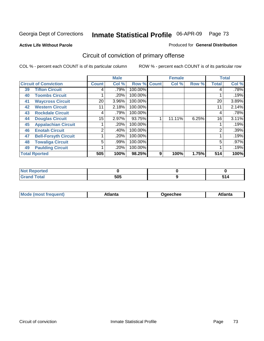#### **Active Life Without Parole**

#### Produced for **General Distribution**

# Circuit of conviction of primary offense

|                              |                             |              | <b>Male</b> |         |              | <b>Female</b> |       |              | <b>Total</b> |
|------------------------------|-----------------------------|--------------|-------------|---------|--------------|---------------|-------|--------------|--------------|
| <b>Circuit of Conviction</b> |                             | <b>Count</b> | Col %       | Row %   | <b>Count</b> | Col %         | Row % | <b>Total</b> | Col %        |
| 39                           | <b>Tifton Circuit</b>       |              | .79%        | 100.00% |              |               |       | 4            | .78%         |
| 40                           | <b>Toombs Circuit</b>       |              | .20%        | 100.00% |              |               |       |              | .19%         |
| 41                           | <b>Waycross Circuit</b>     | 20           | 3.96%       | 100.00% |              |               |       | 20           | 3.89%        |
| 42                           | <b>Western Circuit</b>      | 11           | 2.18%       | 100.00% |              |               |       | 11           | 2.14%        |
| 43                           | <b>Rockdale Circuit</b>     | 4            | .79%        | 100.00% |              |               |       | 4            | .78%         |
| 44                           | <b>Douglas Circuit</b>      | 15           | 2.97%       | 93.75%  |              | 11.11%        | 6.25% | 16           | 3.11%        |
| 45                           | <b>Appalachian Circuit</b>  |              | .20%        | 100.00% |              |               |       |              | .19%         |
| 46                           | <b>Enotah Circuit</b>       | 2            | .40%        | 100.00% |              |               |       | 2            | .39%         |
| 47                           | <b>Bell-Forsyth Circuit</b> |              | .20%        | 100.00% |              |               |       |              | .19%         |
| 48                           | <b>Towaliga Circuit</b>     | 5            | .99%        | 100.00% |              |               |       | 5            | $.97\%$      |
| 49                           | <b>Paulding Circuit</b>     |              | .20%        | 100.00% |              |               |       |              | .19%         |
|                              | <b>Total Rported</b>        | 505          | 100%        | 98.25%  | 9            | 100%          | 1.75% | 514          | 100%         |

| Reported<br><b>NOT</b>          |     |       |
|---------------------------------|-----|-------|
| <b>otal</b><br>$\mathbf{v}$ and | 505 | . . T |

| Mo<br>.+Inn+-<br>lanta<br>echee!<br>ומו<br>ιαπιι<br>. <i>.</i> |
|----------------------------------------------------------------|
|----------------------------------------------------------------|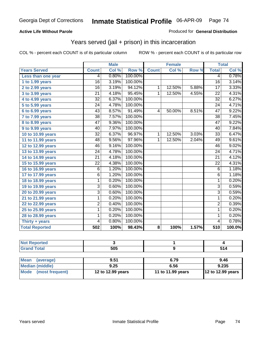### **Active Life Without Parole**

#### Produced for **General Distribution**

## Years served (jail + prison) in this incarceration

|                       |                 | <b>Male</b> |         |                | <b>Female</b> |       |                  | <b>Total</b> |
|-----------------------|-----------------|-------------|---------|----------------|---------------|-------|------------------|--------------|
| <b>Years Served</b>   | <b>Count</b>    | Col %       | Row %   | <b>Count</b>   | Col %         | Row % | <b>Total</b>     | Col %        |
| Less than one year    | 4               | 0.80%       | 100.00% |                |               |       | 4                | 0.78%        |
| 1 to 1.99 years       | $\overline{16}$ | 3.19%       | 100.00% |                |               |       | $\overline{16}$  | 3.14%        |
| $2$ to 2.99 years     | $\overline{16}$ | 3.19%       | 94.12%  | $\mathbf{1}$   | 12.50%        | 5.88% | $\overline{17}$  | 3.33%        |
| 3 to 3.99 years       | $\overline{21}$ | 4.18%       | 95.45%  | 1              | 12.50%        | 4.55% | 22               | 4.31%        |
| 4 to 4.99 years       | $\overline{32}$ | 6.37%       | 100.00% |                |               |       | $\overline{32}$  | 6.27%        |
| 5 to 5.99 years       | $\overline{24}$ | 4.78%       | 100.00% |                |               |       | $\overline{24}$  | 4.71%        |
| 6 to 6.99 years       | $\overline{43}$ | 8.57%       | 91.49%  | 4              | 50.00%        | 8.51% | 47               | 9.22%        |
| 7 to 7.99 years       | $\overline{38}$ | 7.57%       | 100.00% |                |               |       | $\overline{38}$  | 7.45%        |
| 8 to 8.99 years       | $\overline{47}$ | 9.36%       | 100.00% |                |               |       | $\overline{47}$  | 9.22%        |
| 9 to 9.99 years       | 40              | 7.97%       | 100.00% |                |               |       | 40               | 7.84%        |
| 10 to 10.99 years     | $\overline{32}$ | 6.37%       | 96.97%  | $\mathbf{1}$   | 12.50%        | 3.03% | 33               | 6.47%        |
| 11 to 11.99 years     | $\overline{48}$ | 9.56%       | 97.96%  | $\overline{1}$ | 12.50%        | 2.04% | 49               | 9.61%        |
| 12 to 12.99 years     | 46              | 9.16%       | 100.00% |                |               |       | 46               | 9.02%        |
| 13 to 13.99 years     | $\overline{24}$ | 4.78%       | 100.00% |                |               |       | $\overline{24}$  | 4.71%        |
| 14 to 14.99 years     | $\overline{21}$ | 4.18%       | 100.00% |                |               |       | $\overline{21}$  | 4.12%        |
| 15 to 15.99 years     | $\overline{22}$ | 4.38%       | 100.00% |                |               |       | $\overline{22}$  | 4.31%        |
| 16 to 16.99 years     | 6               | 1.20%       | 100.00% |                |               |       | 6                | 1.18%        |
| 17 to 17.99 years     | $\overline{6}$  | 1.20%       | 100.00% |                |               |       | $\overline{6}$   | 1.18%        |
| 18 to 18.99 years     | $\overline{1}$  | 0.20%       | 100.00% |                |               |       | $\overline{1}$   | 0.20%        |
| 19 to 19.99 years     | $\overline{3}$  | 0.60%       | 100.00% |                |               |       | $\overline{3}$   | 0.59%        |
| 20 to 20.99 years     | 3               | 0.60%       | 100.00% |                |               |       | $\overline{3}$   | 0.59%        |
| 21 to 21.99 years     | 1               | 0.20%       | 100.00% |                |               |       | $\overline{1}$   | 0.20%        |
| 22 to 22.99 years     | $\overline{2}$  | 0.40%       | 100.00% |                |               |       | $\overline{2}$   | 0.39%        |
| 25 to 25.99 years     | 1               | 0.20%       | 100.00% |                |               |       | 1                | 0.20%        |
| 28 to 28.99 years     | 1               | 0.20%       | 100.00% |                |               |       | 1                | 0.20%        |
| Thirty + years        | 4               | 0.80%       | 100.00% |                |               |       | $\overline{4}$   | 0.78%        |
| <b>Total Reported</b> | 502             | 100%        | 98.43%  | 8              | 100%          | 1.57% | $\overline{510}$ | 100.0%       |

| <b>Not Reported</b>            |                   |                   |                   |
|--------------------------------|-------------------|-------------------|-------------------|
| <b>Grand Total</b>             | 505               |                   | 514               |
|                                |                   |                   |                   |
| <b>Mean</b><br>(average)       | 9.51              | 6.79              | 9.46              |
| Median (middle)                | 9.25              | 6.56              | 9.235             |
| <b>Mode</b><br>(most frequent) | 12 to 12.99 years | 11 to 11.99 years | 12 to 12.99 years |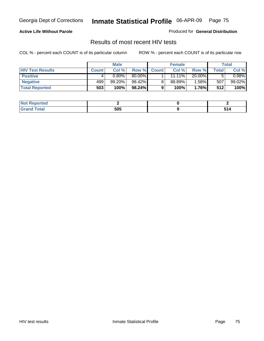### **Active Life Without Parole**

Produced for **General Distribution**

## Results of most recent HIV tests

|                         |              | <b>Male</b> |        |              | <b>Female</b> |          |       | Total     |
|-------------------------|--------------|-------------|--------|--------------|---------------|----------|-------|-----------|
| <b>HIV Test Results</b> | <b>Count</b> | Col %       | Row %  | <b>Count</b> | Col %         | Row %    | Total | Col %     |
| <b>Positive</b>         | 4            | $0.80\%$    | 80.00% |              | $11.11\%$     | 20.00%   |       | $0.98\%$  |
| <b>Negative</b>         | 499          | $99.20\%$   | 98.42% |              | 88.89%        | 1.58%    | 507   | $99.02\%$ |
| <b>Total Reported</b>   | 503          | 100%        | 98.24% |              | 100%          | $1.76\%$ | 512   | 100%      |

| <b>Not Reported</b> |     |     |
|---------------------|-----|-----|
| <b>Grand Total</b>  | 505 | ັບເ |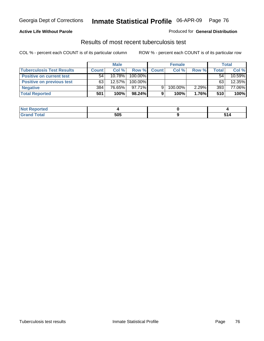### **Active Life Without Parole**

#### Produced for **General Distribution**

## Results of most recent tuberculosis test

|                                  |              | <b>Male</b> |           |              | <b>Female</b> |          |              | Total  |
|----------------------------------|--------------|-------------|-----------|--------------|---------------|----------|--------------|--------|
| <b>Tuberculosis Test Results</b> | <b>Count</b> | Col%        | Row %     | <b>Count</b> | Col%          | Row %    | <b>Total</b> | Col %  |
| <b>Positive on current test</b>  | 54           | $10.78\%$   | 100.00%   |              |               |          | 54.          | 10.59% |
| Positive on previous test        | 63           | $12.57\%$   | 100.00%   |              |               |          | 63           | 12.35% |
| <b>Negative</b>                  | 384          | 76.65%      | $97.71\%$ | 9            | 100.00%       | $2.29\%$ | 393          | 77.06% |
| <b>Total Reported</b>            | 501          | 100%        | 98.24%    |              | 100%          | $1.76\%$ | 510          | 100%   |

| <b>Reported</b><br><b>NOT</b> |     |     |
|-------------------------------|-----|-----|
| <b>Total</b>                  | 505 | 647 |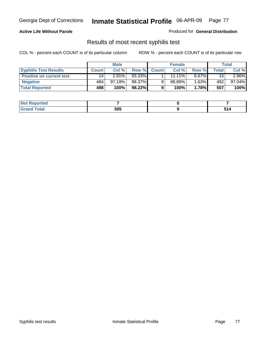### **Active Life Without Parole**

Produced for **General Distribution**

## Results of most recent syphilis test

|                                 |              | <b>Male</b> |        |              | <b>Female</b> |          |       | Total     |
|---------------------------------|--------------|-------------|--------|--------------|---------------|----------|-------|-----------|
| <b>Syphilis Test Results</b>    | <b>Count</b> | Col%        | Row %  | <b>Count</b> | Col%          | Row %    | Total | Col %     |
| <b>Positive on current test</b> | 14           | 2.81%       | 93.33% |              | $11.11\%$     | 6.67%    | 15    | $2.96\%$  |
| <b>Negative</b>                 | 484          | 97.19%      | 98.37% |              | 88.89%        | $1.63\%$ | 492   | $97.04\%$ |
| <b>Total Reported</b>           | 498          | 100%        | 98.22% |              | 100%          | 1.78%    | 507   | 100%      |

| <b>Not Reported</b> |     |        |
|---------------------|-----|--------|
| <b>Total</b>        | 505 | $\sim$ |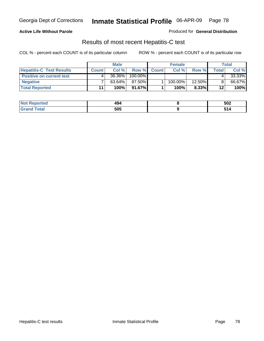### **Active Life Without Parole**

Produced for **General Distribution**

## Results of most recent Hepatitis-C test

|                                 | <b>Male</b>  |        |         | <b>Female</b> |            |          | Total   |        |
|---------------------------------|--------------|--------|---------|---------------|------------|----------|---------|--------|
| <b>Hepatitis-C Test Results</b> | <b>Count</b> | Col %  | Row %   | <b>Count</b>  | Col %      | Row %    | Total   | Col %  |
| <b>Positive on current test</b> |              | 36.36% | 100.00% |               |            |          |         | 33.33% |
| <b>Negative</b>                 |              | 63.64% | 87.50%  |               | $100.00\%$ | 12.50%   |         | 66.67% |
| <b>Total Reported</b>           | 11           | 100%   | 91.67%  |               | 100%       | $8.33\%$ | $12 \,$ | 100%   |

| <b>Not Reported</b>   | 494 | 502                          |
|-----------------------|-----|------------------------------|
| <b>Total</b><br>Grand | 505 | - 4<br>J 14<br>$\sim$ $\sim$ |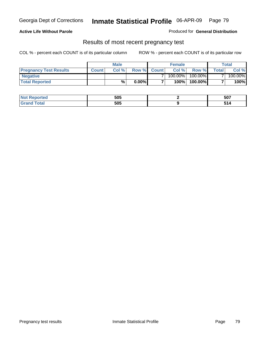#### **Active Life Without Parole**

Produced for **General Distribution**

### Results of most recent pregnancy test

|                               | Male         |       |          | <b>Female</b> |         |            | Total          |         |
|-------------------------------|--------------|-------|----------|---------------|---------|------------|----------------|---------|
| <b>Pregnancy Test Results</b> | <b>Count</b> | Col % | Row %    | <b>Count</b>  | Col %   | Row %      | <b>Total</b> I | Col %   |
| <b>Negative</b>               |              |       |          |               | 100.00% | $100.00\%$ |                | 100.00% |
| <b>Total Reported</b>         |              | %     | $0.00\%$ |               | 100%    | 100.00%    |                | 100%    |

| rted.  | 505 | 507 |
|--------|-----|-----|
| $\sim$ | 505 |     |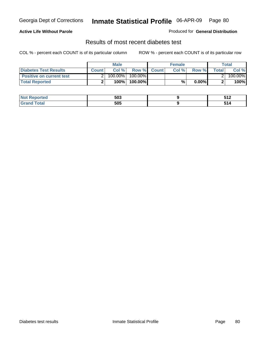### **Active Life Without Parole**

#### Produced for **General Distribution**

## Results of most recent diabetes test

|                                 |              | Male    |            |              | <b>Female</b> |          |              | Total   |
|---------------------------------|--------------|---------|------------|--------------|---------------|----------|--------------|---------|
| Diabetes Test Results           | <b>Count</b> | Col %   | Row %      | <b>Count</b> | Col %         | Row %I   | <b>Total</b> | Col %   |
| <b>Positive on current test</b> |              | 100.00% | $100.00\%$ |              |               |          |              | 100.00% |
| <b>Total Reported</b>           |              | 100%    | 100.00%    |              | %             | $0.00\%$ |              | 100%    |

| orted              | 503 | 549<br>.                                  |
|--------------------|-----|-------------------------------------------|
| <b>ota</b><br>____ | 505 | $\sim$ $\sim$ $\sim$ $\sim$ $\sim$ $\sim$ |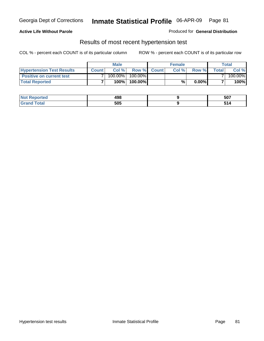### **Active Life Without Parole**

#### Produced for **General Distribution**

### Results of most recent hypertension test

|                                  | <b>Male</b>  |         |            | <b>Female</b> |      |          | <b>Total</b> |         |
|----------------------------------|--------------|---------|------------|---------------|------|----------|--------------|---------|
| <b>Hypertension Test Results</b> | <b>Count</b> | Col %   |            | Row % Count   | Col% | Row %    | Totall       | Col %   |
| <b>Positive on current test</b>  |              | 100.00% | $100.00\%$ |               |      |          |              | 100.00% |
| <b>Total Reported</b>            |              | 100%    | 100.00%    |               | %    | $0.00\%$ |              | 100%    |

| NO<br>тео | 498 | 507                  |
|-----------|-----|----------------------|
| _____     | 505 | - -<br>$\sim$ $\sim$ |